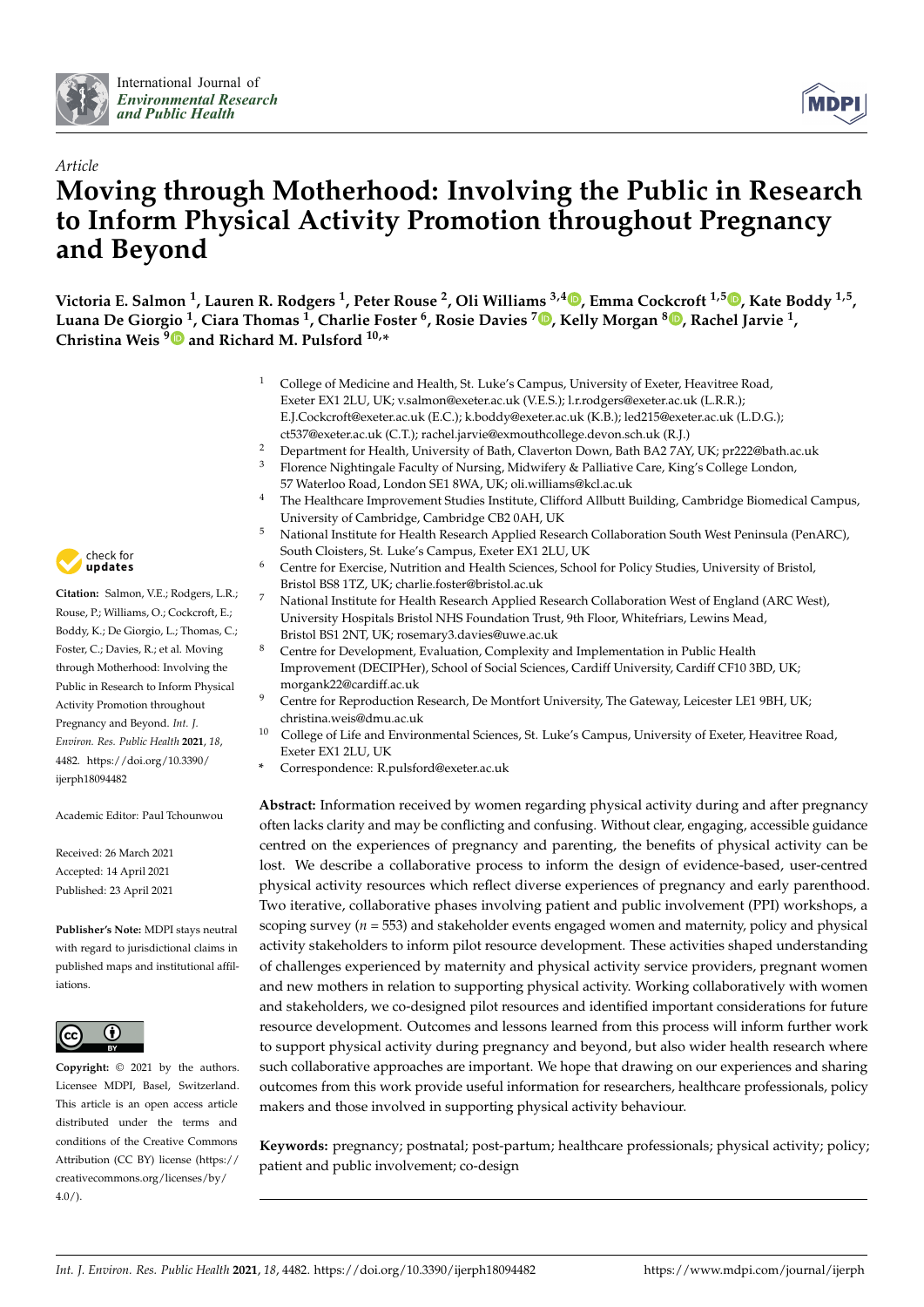



# *Article* **Moving through Motherhood: Involving the Public in Research to Inform Physical Activity Promotion throughout Pregnancy and Beyond**

**Victoria E. Salmon <sup>1</sup> , Lauren R. Rodgers <sup>1</sup> , Peter Rouse <sup>2</sup> , Oli Williams 3,4 [,](https://orcid.org/0000-0002-4561-2612) Emma Cockcroft 1,5 [,](https://orcid.org/0000-0003-3798-9492) Kate Boddy 1,5 , Luana De Gior[gio](https://orcid.org/0000-0002-8447-0039) <sup>1</sup> , Ciara Thomas <sup>1</sup> , Charlie Foster <sup>6</sup> , Rosie Davies <sup>7</sup> [,](https://orcid.org/0000-0001-9969-1902) Kelly Morgan <sup>8</sup> [,](https://orcid.org/0000-0002-8685-1177) Rachel Jarvie <sup>1</sup> , Christina Weis <sup>9</sup> and Richard M. Pulsford 10,\***

- <sup>1</sup> College of Medicine and Health, St. Luke's Campus, University of Exeter, Heavitree Road, Exeter EX1 2LU, UK; v.salmon@exeter.ac.uk (V.E.S.); l.r.rodgers@exeter.ac.uk (L.R.R.); E.J.Cockcroft@exeter.ac.uk (E.C.); k.boddy@exeter.ac.uk (K.B.); led215@exeter.ac.uk (L.D.G.); ct537@exeter.ac.uk (C.T.); rachel.jarvie@exmouthcollege.devon.sch.uk (R.J.)
- <sup>2</sup> Department for Health, University of Bath, Claverton Down, Bath BA2 7AY, UK; pr222@bath.ac.uk <sup>3</sup> Florence Nightingale Faculty of Nursing, Midwifery & Palliative Care, King's College London,
- 57 Waterloo Road, London SE1 8WA, UK; oli.williams@kcl.ac.uk <sup>4</sup> The Healthcare Improvement Studies Institute, Clifford Allbutt Building, Cambridge Biomedical Campus,
- University of Cambridge, Cambridge CB2 0AH, UK
- <sup>5</sup> National Institute for Health Research Applied Research Collaboration South West Peninsula (PenARC), South Cloisters, St. Luke's Campus, Exeter EX1 2LU, UK
- Centre for Exercise, Nutrition and Health Sciences, School for Policy Studies, University of Bristol, Bristol BS8 1TZ, UK; charlie.foster@bristol.ac.uk
- <sup>7</sup> National Institute for Health Research Applied Research Collaboration West of England (ARC West), University Hospitals Bristol NHS Foundation Trust, 9th Floor, Whitefriars, Lewins Mead, Bristol BS1 2NT, UK; rosemary3.davies@uwe.ac.uk
- <sup>8</sup> Centre for Development, Evaluation, Complexity and Implementation in Public Health Improvement (DECIPHer), School of Social Sciences, Cardiff University, Cardiff CF10 3BD, UK; morgank22@cardiff.ac.uk
- <sup>9</sup> Centre for Reproduction Research, De Montfort University, The Gateway, Leicester LE1 9BH, UK; christina.weis@dmu.ac.uk
- <sup>10</sup> College of Life and Environmental Sciences, St. Luke's Campus, University of Exeter, Heavitree Road, Exeter EX1 2LU, UK
- **\*** Correspondence: R.pulsford@exeter.ac.uk

**Abstract:** Information received by women regarding physical activity during and after pregnancy often lacks clarity and may be conflicting and confusing. Without clear, engaging, accessible guidance centred on the experiences of pregnancy and parenting, the benefits of physical activity can be lost. We describe a collaborative process to inform the design of evidence-based, user-centred physical activity resources which reflect diverse experiences of pregnancy and early parenthood. Two iterative, collaborative phases involving patient and public involvement (PPI) workshops, a scoping survey (*n* = 553) and stakeholder events engaged women and maternity, policy and physical activity stakeholders to inform pilot resource development. These activities shaped understanding of challenges experienced by maternity and physical activity service providers, pregnant women and new mothers in relation to supporting physical activity. Working collaboratively with women and stakeholders, we co-designed pilot resources and identified important considerations for future resource development. Outcomes and lessons learned from this process will inform further work to support physical activity during pregnancy and beyond, but also wider health research where such collaborative approaches are important. We hope that drawing on our experiences and sharing outcomes from this work provide useful information for researchers, healthcare professionals, policy makers and those involved in supporting physical activity behaviour.

**Keywords:** pregnancy; postnatal; post-partum; healthcare professionals; physical activity; policy; patient and public involvement; co-design



**Citation:** Salmon, V.E.; Rodgers, L.R.; Rouse, P.; Williams, O.; Cockcroft, E.; Boddy, K.; De Giorgio, L.; Thomas, C.; Foster, C.; Davies, R.; et al. Moving through Motherhood: Involving the Public in Research to Inform Physical Activity Promotion throughout Pregnancy and Beyond. *Int. J. Environ. Res. Public Health* **2021**, *18*, 4482. [https://doi.org/10.3390/](https://doi.org/10.3390/ijerph18094482) [ijerph18094482](https://doi.org/10.3390/ijerph18094482)

Academic Editor: Paul Tchounwou

Received: 26 March 2021 Accepted: 14 April 2021 Published: 23 April 2021

**Publisher's Note:** MDPI stays neutral with regard to jurisdictional claims in published maps and institutional affiliations.



**Copyright:** © 2021 by the authors. Licensee MDPI, Basel, Switzerland. This article is an open access article distributed under the terms and conditions of the Creative Commons Attribution (CC BY) license (https:/[/](https://creativecommons.org/licenses/by/4.0/) [creativecommons.org/licenses/by/](https://creativecommons.org/licenses/by/4.0/)  $4.0/$ ).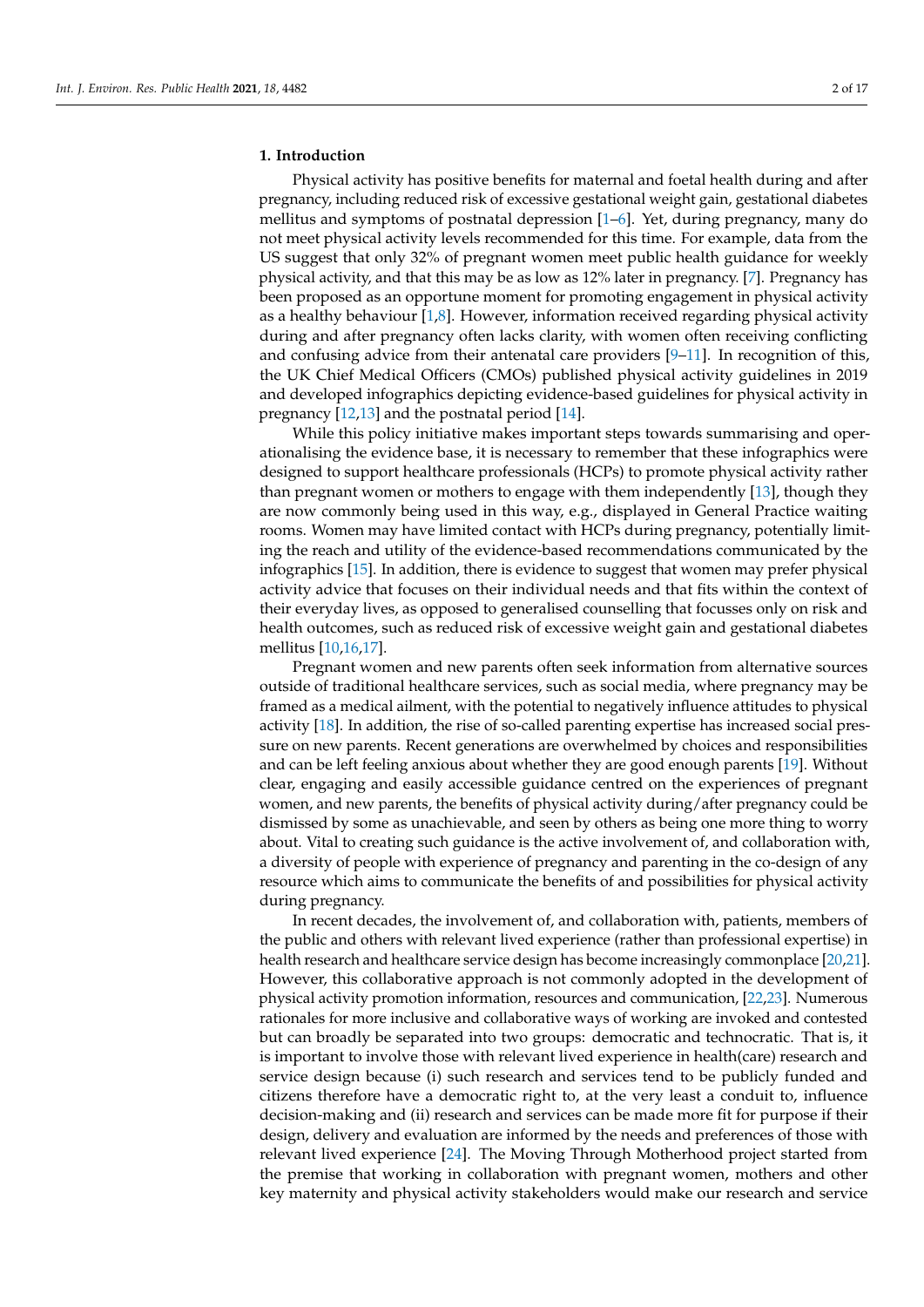#### **1. Introduction**

Physical activity has positive benefits for maternal and foetal health during and after pregnancy, including reduced risk of excessive gestational weight gain, gestational diabetes mellitus and symptoms of postnatal depression [\[1](#page-14-0)[–6\]](#page-14-1). Yet, during pregnancy, many do not meet physical activity levels recommended for this time. For example, data from the US suggest that only 32% of pregnant women meet public health guidance for weekly physical activity, and that this may be as low as 12% later in pregnancy. [\[7\]](#page-14-2). Pregnancy has been proposed as an opportune moment for promoting engagement in physical activity as a healthy behaviour  $[1,8]$  $[1,8]$ . However, information received regarding physical activity during and after pregnancy often lacks clarity, with women often receiving conflicting and confusing advice from their antenatal care providers  $[9-11]$  $[9-11]$ . In recognition of this, the UK Chief Medical Officers (CMOs) published physical activity guidelines in 2019 and developed infographics depicting evidence-based guidelines for physical activity in pregnancy [\[12](#page-14-6)[,13\]](#page-14-7) and the postnatal period [\[14\]](#page-14-8).

While this policy initiative makes important steps towards summarising and operationalising the evidence base, it is necessary to remember that these infographics were designed to support healthcare professionals (HCPs) to promote physical activity rather than pregnant women or mothers to engage with them independently [\[13\]](#page-14-7), though they are now commonly being used in this way, e.g., displayed in General Practice waiting rooms. Women may have limited contact with HCPs during pregnancy, potentially limiting the reach and utility of the evidence-based recommendations communicated by the infographics [\[15\]](#page-14-9). In addition, there is evidence to suggest that women may prefer physical activity advice that focuses on their individual needs and that fits within the context of their everyday lives, as opposed to generalised counselling that focusses only on risk and health outcomes, such as reduced risk of excessive weight gain and gestational diabetes mellitus [\[10](#page-14-10)[,16,](#page-14-11)[17\]](#page-14-12).

Pregnant women and new parents often seek information from alternative sources outside of traditional healthcare services, such as social media, where pregnancy may be framed as a medical ailment, with the potential to negatively influence attitudes to physical activity [\[18\]](#page-15-0). In addition, the rise of so-called parenting expertise has increased social pressure on new parents. Recent generations are overwhelmed by choices and responsibilities and can be left feeling anxious about whether they are good enough parents [\[19\]](#page-15-1). Without clear, engaging and easily accessible guidance centred on the experiences of pregnant women, and new parents, the benefits of physical activity during/after pregnancy could be dismissed by some as unachievable, and seen by others as being one more thing to worry about. Vital to creating such guidance is the active involvement of, and collaboration with, a diversity of people with experience of pregnancy and parenting in the co-design of any resource which aims to communicate the benefits of and possibilities for physical activity during pregnancy.

In recent decades, the involvement of, and collaboration with, patients, members of the public and others with relevant lived experience (rather than professional expertise) in health research and healthcare service design has become increasingly commonplace [\[20](#page-15-2)[,21\]](#page-15-3). However, this collaborative approach is not commonly adopted in the development of physical activity promotion information, resources and communication, [\[22](#page-15-4)[,23\]](#page-15-5). Numerous rationales for more inclusive and collaborative ways of working are invoked and contested but can broadly be separated into two groups: democratic and technocratic. That is, it is important to involve those with relevant lived experience in health(care) research and service design because (i) such research and services tend to be publicly funded and citizens therefore have a democratic right to, at the very least a conduit to, influence decision-making and (ii) research and services can be made more fit for purpose if their design, delivery and evaluation are informed by the needs and preferences of those with relevant lived experience [\[24\]](#page-15-6). The Moving Through Motherhood project started from the premise that working in collaboration with pregnant women, mothers and other key maternity and physical activity stakeholders would make our research and service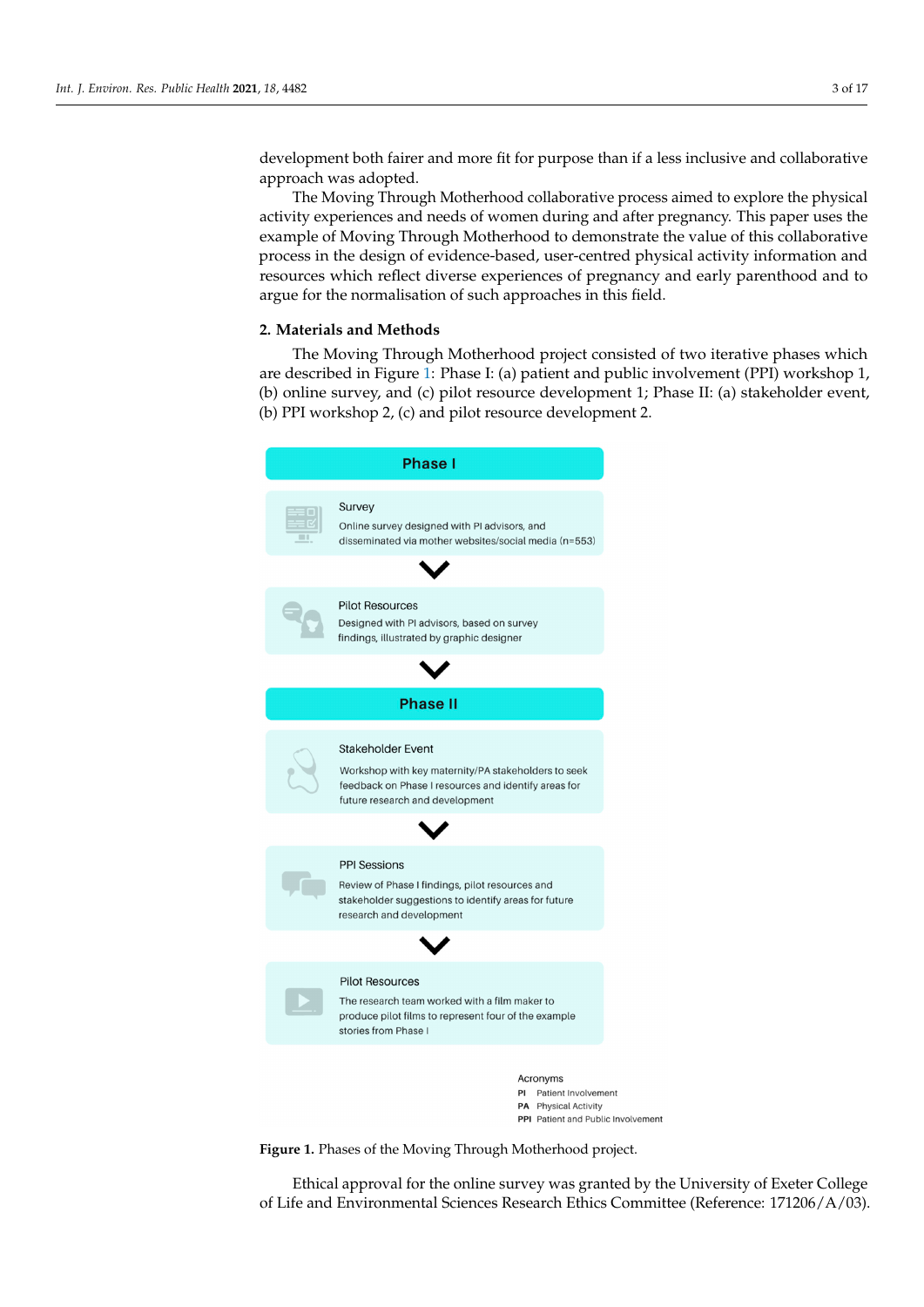development both fairer and more fit for purpose than if a less inclusive and collaborative approach was adopted.  $\frac{1}{\mu}$ 

The Moving Through Motherhood collaborative process aimed to explore the physical activity experiences and needs of women during and after pregnancy. This paper uses the example of Moving Through Motherhood to demonstrate the value of this collaborative process in the design of evidence-based, user-centred physical activity information and resources which reflect diverse experiences of pregnancy and early parenthood and to argue for the normalisation of such approaches in this field.

# **2. Materials and Methods (b)** online survey, and  $\alpha$

approach was adopted. The set of the set of the set of the set of the set of the set of the set of the set of the set of the set of the set of the set of the set of the set of the set of the set of the set of the set of t

The Moving Through Motherhood project consisted of two iterative phases which are described in Figure 1: Phase I: (a) patient and public involvement (PPI) workshop 1, (b) online survey, and (c) pilot resource development 1; Phase II: (a) stakeholder event, (b) PPI workshop 2, (c) and pilot resource development 2.

<span id="page-2-0"></span>



**Figure 1.** Phases of the Moving Through Motherhood project. **Figure 1.** Phases of the Moving Through Motherhood project.

Ethical approval for the online survey was granted by the University of Exeter College of Life and Environmental Sciences Research Ethics Committee (Reference: 171206/A/03).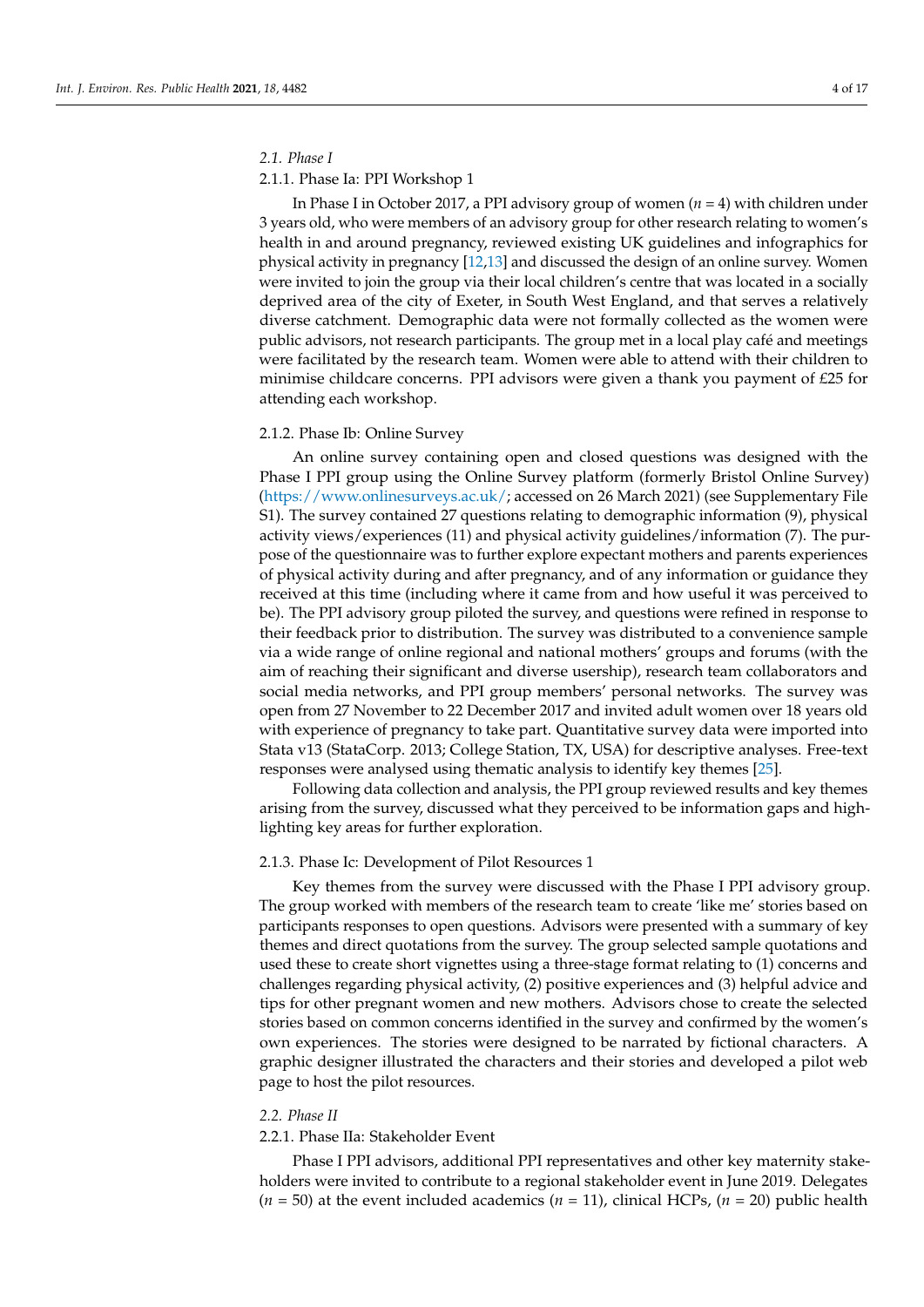#### *2.1. Phase I*

# 2.1.1. Phase Ia: PPI Workshop 1

In Phase I in October 2017, a PPI advisory group of women (*n* = 4) with children under 3 years old, who were members of an advisory group for other research relating to women's health in and around pregnancy, reviewed existing UK guidelines and infographics for physical activity in pregnancy [\[12,](#page-14-6)[13\]](#page-14-7) and discussed the design of an online survey. Women were invited to join the group via their local children's centre that was located in a socially deprived area of the city of Exeter, in South West England, and that serves a relatively diverse catchment. Demographic data were not formally collected as the women were public advisors, not research participants. The group met in a local play café and meetings were facilitated by the research team. Women were able to attend with their children to minimise childcare concerns. PPI advisors were given a thank you payment of £25 for attending each workshop.

# 2.1.2. Phase Ib: Online Survey

An online survey containing open and closed questions was designed with the Phase I PPI group using the Online Survey platform (formerly Bristol Online Survey) [\(https://www.onlinesurveys.ac.uk/;](https://www.onlinesurveys.ac.uk/) accessed on 26 March 2021) (see Supplementary File S1). The survey contained 27 questions relating to demographic information (9), physical activity views/experiences (11) and physical activity guidelines/information (7). The purpose of the questionnaire was to further explore expectant mothers and parents experiences of physical activity during and after pregnancy, and of any information or guidance they received at this time (including where it came from and how useful it was perceived to be). The PPI advisory group piloted the survey, and questions were refined in response to their feedback prior to distribution. The survey was distributed to a convenience sample via a wide range of online regional and national mothers' groups and forums (with the aim of reaching their significant and diverse usership), research team collaborators and social media networks, and PPI group members' personal networks. The survey was open from 27 November to 22 December 2017 and invited adult women over 18 years old with experience of pregnancy to take part. Quantitative survey data were imported into Stata v13 (StataCorp. 2013; College Station, TX, USA) for descriptive analyses. Free-text responses were analysed using thematic analysis to identify key themes [\[25\]](#page-15-7).

Following data collection and analysis, the PPI group reviewed results and key themes arising from the survey, discussed what they perceived to be information gaps and highlighting key areas for further exploration.

# 2.1.3. Phase Ic: Development of Pilot Resources 1

Key themes from the survey were discussed with the Phase I PPI advisory group. The group worked with members of the research team to create 'like me' stories based on participants responses to open questions. Advisors were presented with a summary of key themes and direct quotations from the survey. The group selected sample quotations and used these to create short vignettes using a three-stage format relating to (1) concerns and challenges regarding physical activity, (2) positive experiences and (3) helpful advice and tips for other pregnant women and new mothers. Advisors chose to create the selected stories based on common concerns identified in the survey and confirmed by the women's own experiences. The stories were designed to be narrated by fictional characters. A graphic designer illustrated the characters and their stories and developed a pilot web page to host the pilot resources.

# *2.2. Phase II*

# 2.2.1. Phase IIa: Stakeholder Event

Phase I PPI advisors, additional PPI representatives and other key maternity stakeholders were invited to contribute to a regional stakeholder event in June 2019. Delegates (*n* = 50) at the event included academics (*n* = 11), clinical HCPs, (*n* = 20) public health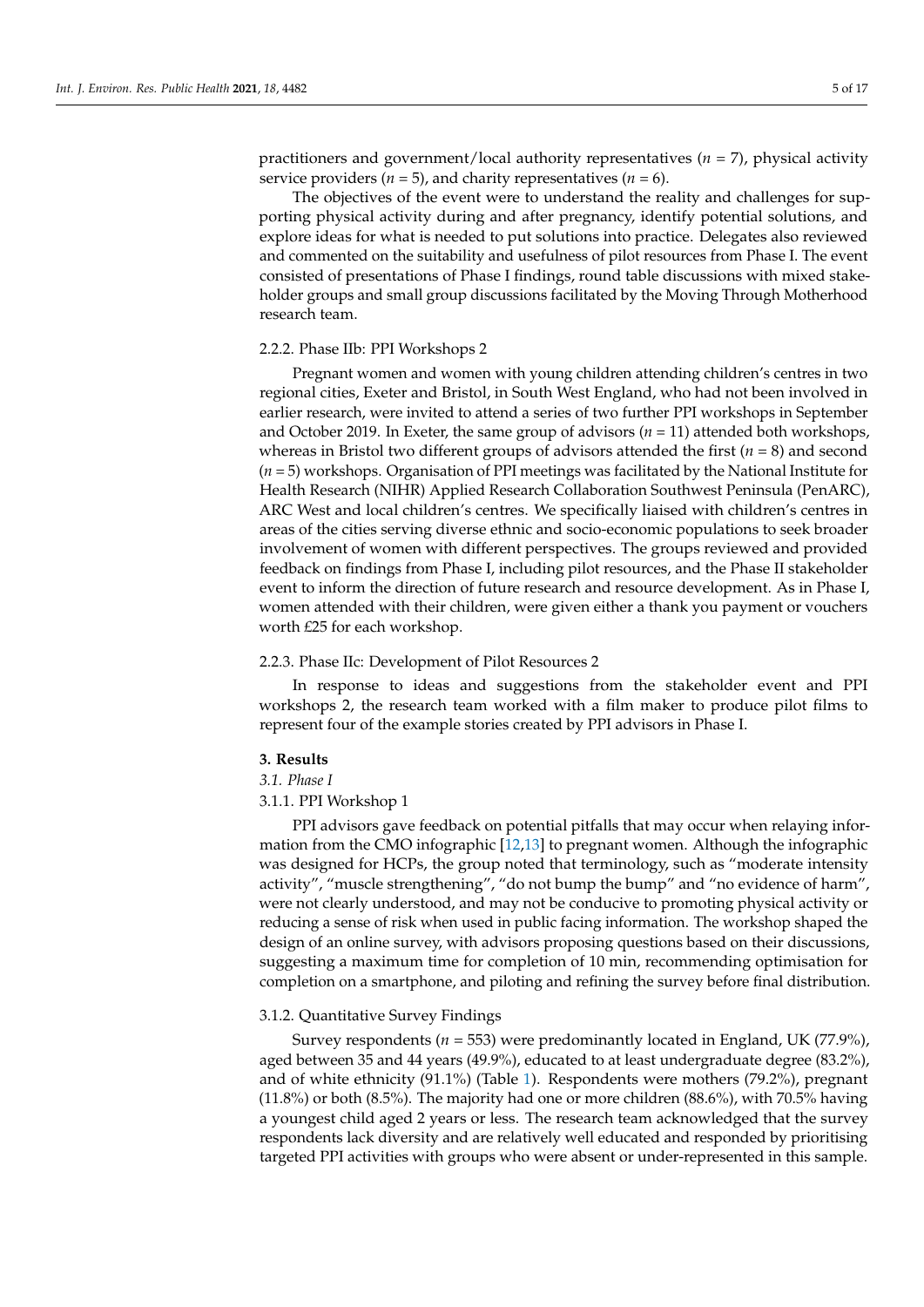practitioners and government/local authority representatives (*n* = 7), physical activity service providers  $(n = 5)$ , and charity representatives  $(n = 6)$ .

The objectives of the event were to understand the reality and challenges for supporting physical activity during and after pregnancy, identify potential solutions, and explore ideas for what is needed to put solutions into practice. Delegates also reviewed and commented on the suitability and usefulness of pilot resources from Phase I. The event consisted of presentations of Phase I findings, round table discussions with mixed stakeholder groups and small group discussions facilitated by the Moving Through Motherhood research team.

## 2.2.2. Phase IIb: PPI Workshops 2

Pregnant women and women with young children attending children's centres in two regional cities, Exeter and Bristol, in South West England, who had not been involved in earlier research, were invited to attend a series of two further PPI workshops in September and October 2019. In Exeter, the same group of advisors  $(n = 11)$  attended both workshops, whereas in Bristol two different groups of advisors attended the first (*n* = 8) and second (*n* = 5) workshops. Organisation of PPI meetings was facilitated by the National Institute for Health Research (NIHR) Applied Research Collaboration Southwest Peninsula (PenARC), ARC West and local children's centres. We specifically liaised with children's centres in areas of the cities serving diverse ethnic and socio-economic populations to seek broader involvement of women with different perspectives. The groups reviewed and provided feedback on findings from Phase I, including pilot resources, and the Phase II stakeholder event to inform the direction of future research and resource development. As in Phase I, women attended with their children, were given either a thank you payment or vouchers worth £25 for each workshop.

# 2.2.3. Phase IIc: Development of Pilot Resources 2

In response to ideas and suggestions from the stakeholder event and PPI workshops 2, the research team worked with a film maker to produce pilot films to represent four of the example stories created by PPI advisors in Phase I.

#### **3. Results**

*3.1. Phase I*

## 3.1.1. PPI Workshop 1

PPI advisors gave feedback on potential pitfalls that may occur when relaying information from the CMO infographic [\[12](#page-14-6)[,13\]](#page-14-7) to pregnant women. Although the infographic was designed for HCPs, the group noted that terminology, such as "moderate intensity activity", "muscle strengthening", "do not bump the bump" and "no evidence of harm", were not clearly understood, and may not be conducive to promoting physical activity or reducing a sense of risk when used in public facing information. The workshop shaped the design of an online survey, with advisors proposing questions based on their discussions, suggesting a maximum time for completion of 10 min, recommending optimisation for completion on a smartphone, and piloting and refining the survey before final distribution.

#### 3.1.2. Quantitative Survey Findings

Survey respondents (*n* = 553) were predominantly located in England, UK (77.9%), aged between 35 and 44 years (49.9%), educated to at least undergraduate degree (83.2%), and of white ethnicity (91.1%) (Table [1\)](#page-5-0). Respondents were mothers (79.2%), pregnant (11.8%) or both (8.5%). The majority had one or more children (88.6%), with 70.5% having a youngest child aged 2 years or less. The research team acknowledged that the survey respondents lack diversity and are relatively well educated and responded by prioritising targeted PPI activities with groups who were absent or under-represented in this sample.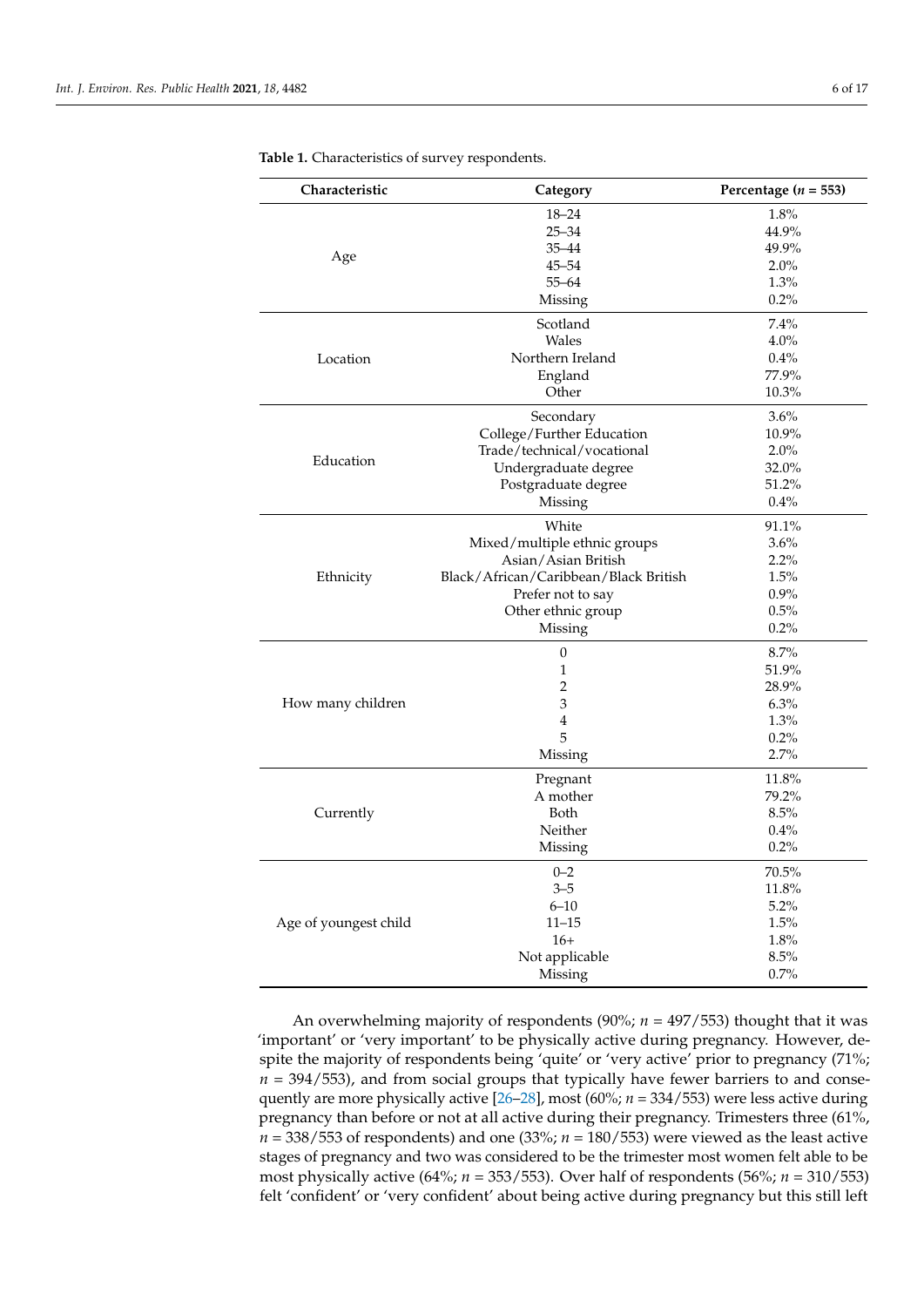| Characteristic        | Category                              | Percentage ( $n = 553$ ) |
|-----------------------|---------------------------------------|--------------------------|
|                       | $18 - 24$                             | 1.8%                     |
|                       | $25 - 34$                             | 44.9%                    |
|                       | $35 - 44$                             | 49.9%                    |
| Age                   | $45 - 54$                             | 2.0%                     |
|                       | $55 - 64$                             | 1.3%                     |
|                       | Missing                               | 0.2%                     |
| Location              | Scotland                              | 7.4%                     |
|                       | Wales                                 | $4.0\%$                  |
|                       | Northern Ireland                      | 0.4%                     |
|                       | England                               | 77.9%                    |
|                       | Other                                 | 10.3%                    |
|                       | Secondary                             | 3.6%                     |
|                       | College/Further Education             | 10.9%                    |
|                       | Trade/technical/vocational            | 2.0%                     |
| Education             | Undergraduate degree                  | 32.0%                    |
|                       | Postgraduate degree                   | 51.2%                    |
|                       | Missing                               | 0.4%                     |
|                       | White                                 | 91.1%                    |
|                       | Mixed/multiple ethnic groups          | 3.6%                     |
|                       | Asian/Asian British                   | 2.2%                     |
| Ethnicity             | Black/African/Caribbean/Black British | 1.5%                     |
|                       | Prefer not to say                     | 0.9%                     |
|                       | Other ethnic group                    | 0.5%                     |
|                       | Missing                               | 0.2%                     |
|                       | $\boldsymbol{0}$                      | 8.7%                     |
|                       | $\mathbf{1}$                          | 51.9%                    |
| How many children     | 2                                     | 28.9%                    |
|                       | 3                                     | 6.3%                     |
|                       | $\overline{4}$                        | 1.3%                     |
|                       | 5                                     | 0.2%                     |
|                       | Missing                               | 2.7%                     |
| Currently             | Pregnant                              | 11.8%                    |
|                       | A mother                              | 79.2%                    |
|                       | Both                                  | 8.5%                     |
|                       | Neither                               | 0.4%                     |
|                       | Missing                               | 0.2%                     |
| Age of youngest child | $0 - 2$                               | 70.5%                    |
|                       | $3 - 5$                               | 11.8%                    |
|                       | $6 - 10$                              | 5.2%                     |
|                       | $11 - 15$                             | 1.5%                     |
|                       | $16+$                                 | 1.8%                     |
|                       | Not applicable                        | 8.5%                     |
|                       | Missing                               | 0.7%                     |

<span id="page-5-0"></span>**Table 1.** Characteristics of survey respondents.

An overwhelming majority of respondents (90%; *n* = 497/553) thought that it was 'important' or 'very important' to be physically active during pregnancy. However, despite the majority of respondents being 'quite' or 'very active' prior to pregnancy (71%;  $n = 394/553$ ), and from social groups that typically have fewer barriers to and consequently are more physically active [\[26](#page-15-8)[–28\]](#page-15-9), most (60%; *n* = 334/553) were less active during pregnancy than before or not at all active during their pregnancy. Trimesters three (61%,  $n = 338/553$  of respondents) and one (33%;  $n = 180/553$ ) were viewed as the least active stages of pregnancy and two was considered to be the trimester most women felt able to be most physically active (64%; *n* = 353/553). Over half of respondents (56%; *n* = 310/553) felt 'confident' or 'very confident' about being active during pregnancy but this still left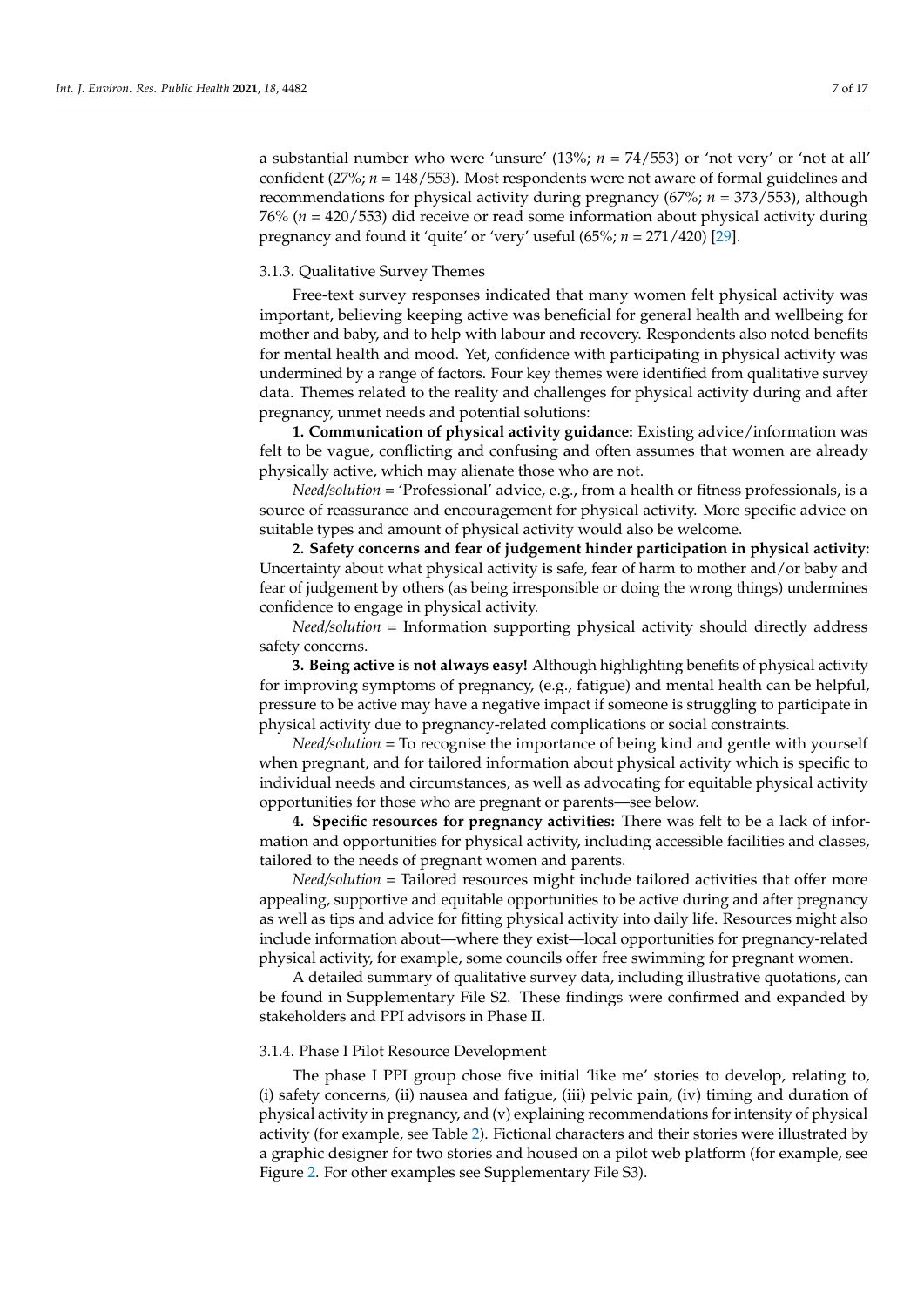a substantial number who were 'unsure' (13%; *n* = 74/553) or 'not very' or 'not at all' confident (27%; *n* = 148/553). Most respondents were not aware of formal guidelines and recommendations for physical activity during pregnancy (67%; *n* = 373/553), although 76% (*n* = 420/553) did receive or read some information about physical activity during pregnancy and found it 'quite' or 'very' useful (65%; *n* = 271/420) [\[29\]](#page-15-10).

# 3.1.3. Qualitative Survey Themes

Free-text survey responses indicated that many women felt physical activity was important, believing keeping active was beneficial for general health and wellbeing for mother and baby, and to help with labour and recovery. Respondents also noted benefits for mental health and mood. Yet, confidence with participating in physical activity was undermined by a range of factors. Four key themes were identified from qualitative survey data. Themes related to the reality and challenges for physical activity during and after pregnancy, unmet needs and potential solutions:

**1. Communication of physical activity guidance:** Existing advice/information was felt to be vague, conflicting and confusing and often assumes that women are already physically active, which may alienate those who are not.

*Need/solution* = 'Professional' advice, e.g., from a health or fitness professionals, is a source of reassurance and encouragement for physical activity. More specific advice on suitable types and amount of physical activity would also be welcome.

**2. Safety concerns and fear of judgement hinder participation in physical activity:** Uncertainty about what physical activity is safe, fear of harm to mother and/or baby and fear of judgement by others (as being irresponsible or doing the wrong things) undermines confidence to engage in physical activity.

*Need/solution* = Information supporting physical activity should directly address safety concerns.

**3. Being active is not always easy!** Although highlighting benefits of physical activity for improving symptoms of pregnancy, (e.g., fatigue) and mental health can be helpful, pressure to be active may have a negative impact if someone is struggling to participate in physical activity due to pregnancy-related complications or social constraints.

*Need/solution* = To recognise the importance of being kind and gentle with yourself when pregnant, and for tailored information about physical activity which is specific to individual needs and circumstances, as well as advocating for equitable physical activity opportunities for those who are pregnant or parents—see below.

**4. Specific resources for pregnancy activities:** There was felt to be a lack of information and opportunities for physical activity, including accessible facilities and classes, tailored to the needs of pregnant women and parents.

*Need/solution* = Tailored resources might include tailored activities that offer more appealing, supportive and equitable opportunities to be active during and after pregnancy as well as tips and advice for fitting physical activity into daily life. Resources might also include information about—where they exist—local opportunities for pregnancy-related physical activity, for example, some councils offer free swimming for pregnant women.

A detailed summary of qualitative survey data, including illustrative quotations, can be found in Supplementary File S2. These findings were confirmed and expanded by stakeholders and PPI advisors in Phase II.

#### 3.1.4. Phase I Pilot Resource Development

The phase I PPI group chose five initial 'like me' stories to develop, relating to, (i) safety concerns, (ii) nausea and fatigue, (iii) pelvic pain, (iv) timing and duration of physical activity in pregnancy, and (v) explaining recommendations for intensity of physical activity (for example, see Table [2\)](#page-7-0). Fictional characters and their stories were illustrated by a graphic designer for two stories and housed on a pilot web platform (for example, see Figure [2.](#page-7-1) For other examples see Supplementary File S3).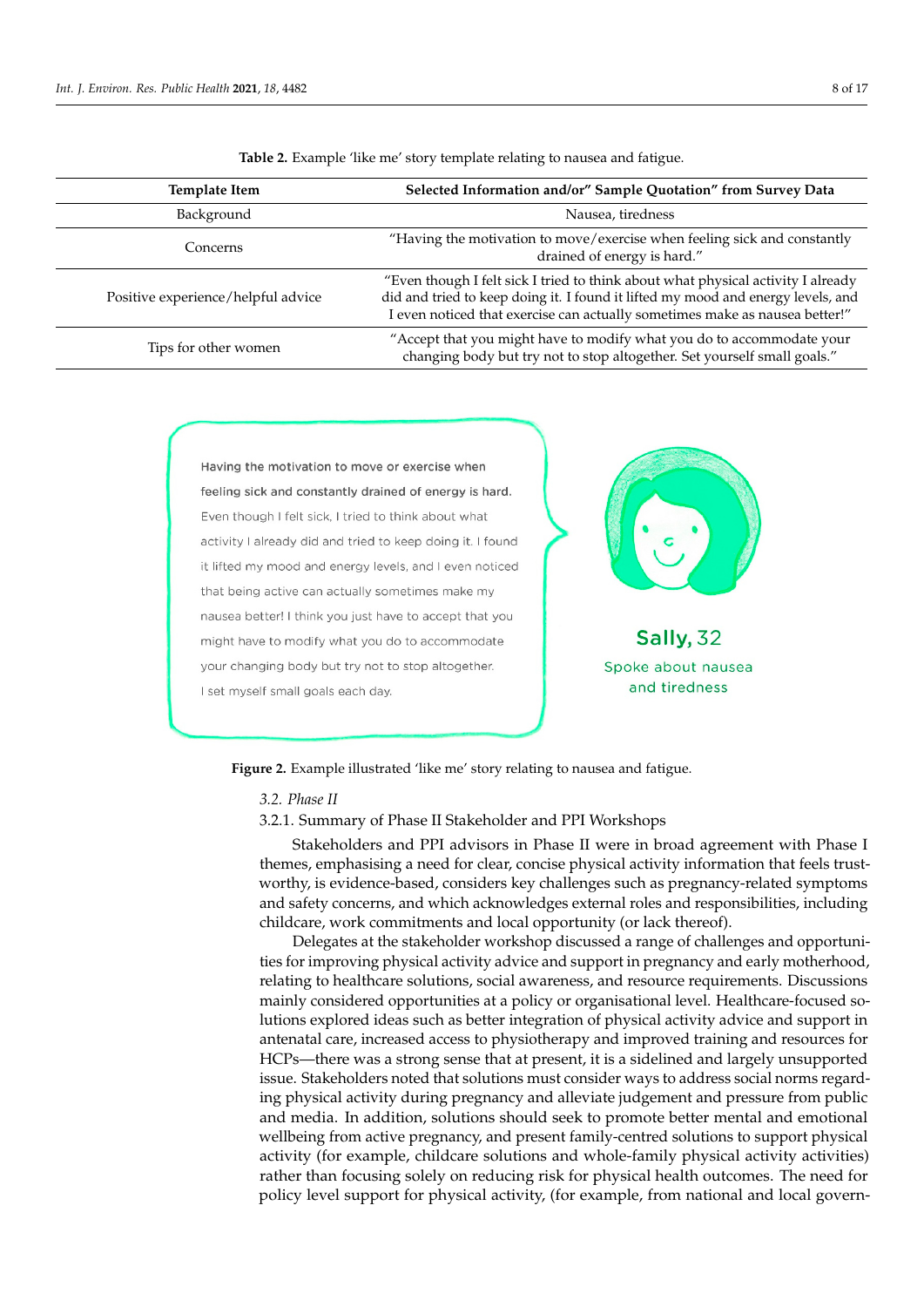<span id="page-7-0"></span>

| <b>Template Item</b>               | Selected Information and/or" Sample Quotation" from Survey Data                                                                                                                                                                                     |  |
|------------------------------------|-----------------------------------------------------------------------------------------------------------------------------------------------------------------------------------------------------------------------------------------------------|--|
| Background                         | Nausea, tiredness                                                                                                                                                                                                                                   |  |
| Concerns                           | "Having the motivation to move/exercise when feeling sick and constantly<br>drained of energy is hard."                                                                                                                                             |  |
| Positive experience/helpful advice | "Even though I felt sick I tried to think about what physical activity I already<br>did and tried to keep doing it. I found it lifted my mood and energy levels, and<br>I even noticed that exercise can actually sometimes make as nausea better!" |  |
| Tips for other women               | "Accept that you might have to modify what you do to accommodate your<br>changing body but try not to stop altogether. Set yourself small goals."                                                                                                   |  |

**Table 2.** Example 'like me' story template relating to nausea and fatigue.

activity (for example, see Table 2). Figure, see Table 2). Figure 3). Figure sample, see Table 2). Figure 3

<span id="page-7-1"></span>

**Figure 2.** Example illustrated 'like me' story relating to nausea and fatigue. **Figure 2.** Example illustrated 'like me' story relating to nausea and fatigue.

*3.2. Phase II*

3.2.1. Summary of Phase II Stakeholder and PPI Workshops 3.2.1. Summary of Phase II Stakeholder and PPI Workshops

Stakeholders and PPI advisors in Phase II were in broad agreement with Phase I themes, emphasising a need for clear, concise physical activity information that feels trust-themes, emphasising a need for clear, concise physical activity information that feels trustworthy, is evidence-based, considers key challenges such as pregnancy-related symptoms worthy, is evidence-based, considers key challenges such as pregnancy-related symptoms and safety concerns, and which acknowledges external roles and responsibilities, includ-childcare, work commitments and local opportunity (or lack thereof). Stakeholders and PPI advisors in Phase II were in broad agreement with Phase I and safety concerns, and which acknowledges external roles and responsibilities, including

ing childcare, work commitments and local opportunity (or lack thereof). Delegates at the stakeholder workshop discussed a range of challenges and opportuni-Delegates at the stakeholder workshop discussed a range of challenges and opportunities for improving physical activity advice and support in pregnancy and early motherhood, relating to healthcare solutions, social awareness, and resource requirements. Discussions hood, relating to healthcare solutions, social awareness, and resource requirements. Dis-mainly considered opportunities at a policy or organisational level. Healthcare-focused socussions mainly considered opportunities at a policy or organisational level. Healthcare-lutions explored ideas such as better integration of physical activity advice and support in antenatal care, increased access to physiotherapy and improved training and resources for HCPs—there was a strong sense that at present, it is a sidelined and largely unsupported issue. Stakeholders noted that solutions must consider ways to address social norms regarding physical activity during pregnancy and alleviate judgement and pressure from public and media. In addition, solutions should seek to promote better mental and emotional wellbeing from active pregnancy, and present family-centred solutions to support physical activity (for example, childcare solutions and whole-family physical activity activities) rather than focusing solely on reducing risk for physical health outcomes. The need for policy level support for physical activity, (for example, from national and local govern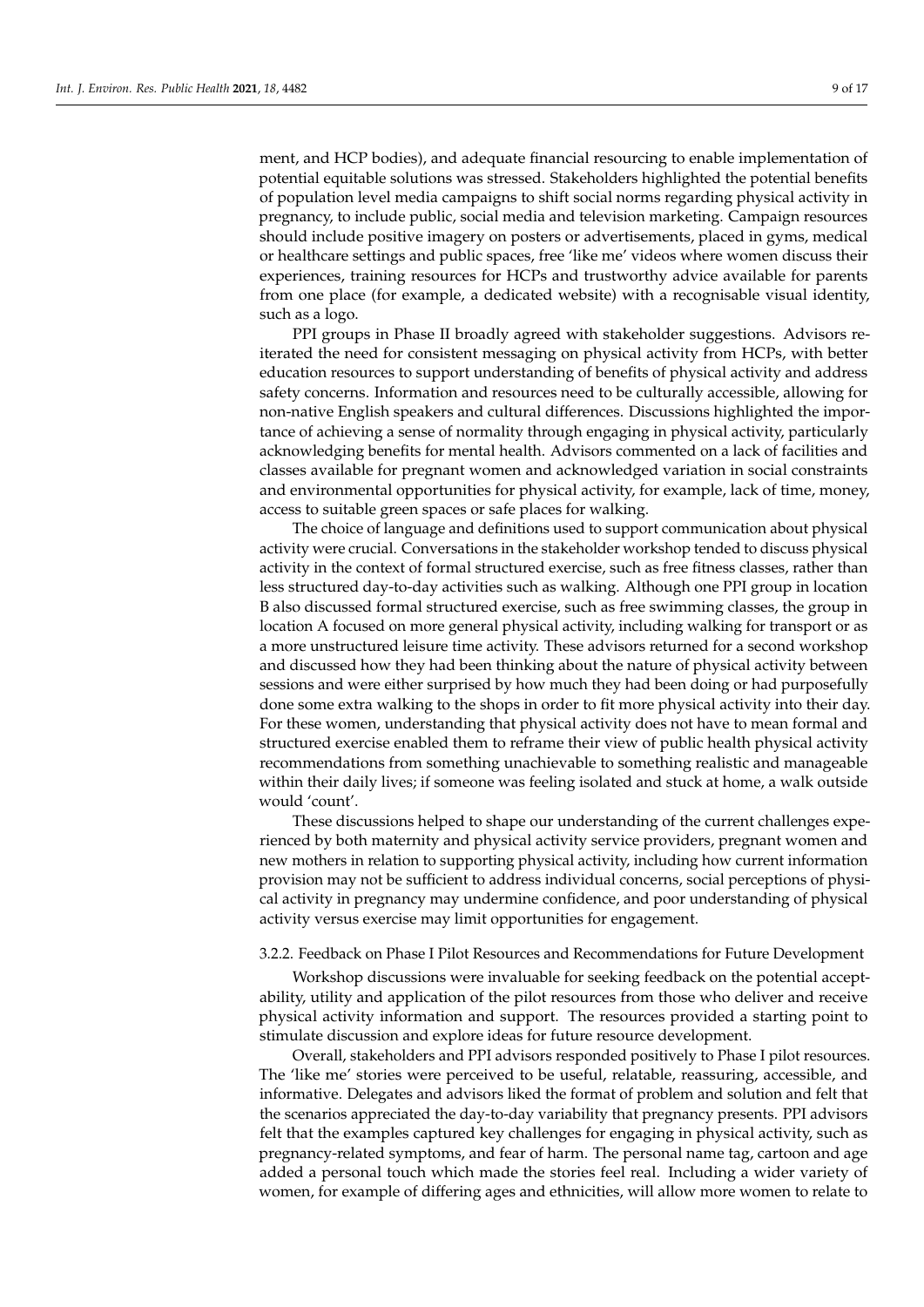ment, and HCP bodies), and adequate financial resourcing to enable implementation of potential equitable solutions was stressed. Stakeholders highlighted the potential benefits of population level media campaigns to shift social norms regarding physical activity in pregnancy, to include public, social media and television marketing. Campaign resources should include positive imagery on posters or advertisements, placed in gyms, medical or healthcare settings and public spaces, free 'like me' videos where women discuss their experiences, training resources for HCPs and trustworthy advice available for parents from one place (for example, a dedicated website) with a recognisable visual identity, such as a logo.

PPI groups in Phase II broadly agreed with stakeholder suggestions. Advisors reiterated the need for consistent messaging on physical activity from HCPs, with better education resources to support understanding of benefits of physical activity and address safety concerns. Information and resources need to be culturally accessible, allowing for non-native English speakers and cultural differences. Discussions highlighted the importance of achieving a sense of normality through engaging in physical activity, particularly acknowledging benefits for mental health. Advisors commented on a lack of facilities and classes available for pregnant women and acknowledged variation in social constraints and environmental opportunities for physical activity, for example, lack of time, money, access to suitable green spaces or safe places for walking.

The choice of language and definitions used to support communication about physical activity were crucial. Conversations in the stakeholder workshop tended to discuss physical activity in the context of formal structured exercise, such as free fitness classes, rather than less structured day-to-day activities such as walking. Although one PPI group in location B also discussed formal structured exercise, such as free swimming classes, the group in location A focused on more general physical activity, including walking for transport or as a more unstructured leisure time activity. These advisors returned for a second workshop and discussed how they had been thinking about the nature of physical activity between sessions and were either surprised by how much they had been doing or had purposefully done some extra walking to the shops in order to fit more physical activity into their day. For these women, understanding that physical activity does not have to mean formal and structured exercise enabled them to reframe their view of public health physical activity recommendations from something unachievable to something realistic and manageable within their daily lives; if someone was feeling isolated and stuck at home, a walk outside would 'count'.

These discussions helped to shape our understanding of the current challenges experienced by both maternity and physical activity service providers, pregnant women and new mothers in relation to supporting physical activity, including how current information provision may not be sufficient to address individual concerns, social perceptions of physical activity in pregnancy may undermine confidence, and poor understanding of physical activity versus exercise may limit opportunities for engagement.

#### 3.2.2. Feedback on Phase I Pilot Resources and Recommendations for Future Development

Workshop discussions were invaluable for seeking feedback on the potential acceptability, utility and application of the pilot resources from those who deliver and receive physical activity information and support. The resources provided a starting point to stimulate discussion and explore ideas for future resource development.

Overall, stakeholders and PPI advisors responded positively to Phase I pilot resources. The 'like me' stories were perceived to be useful, relatable, reassuring, accessible, and informative. Delegates and advisors liked the format of problem and solution and felt that the scenarios appreciated the day-to-day variability that pregnancy presents. PPI advisors felt that the examples captured key challenges for engaging in physical activity, such as pregnancy-related symptoms, and fear of harm. The personal name tag, cartoon and age added a personal touch which made the stories feel real. Including a wider variety of women, for example of differing ages and ethnicities, will allow more women to relate to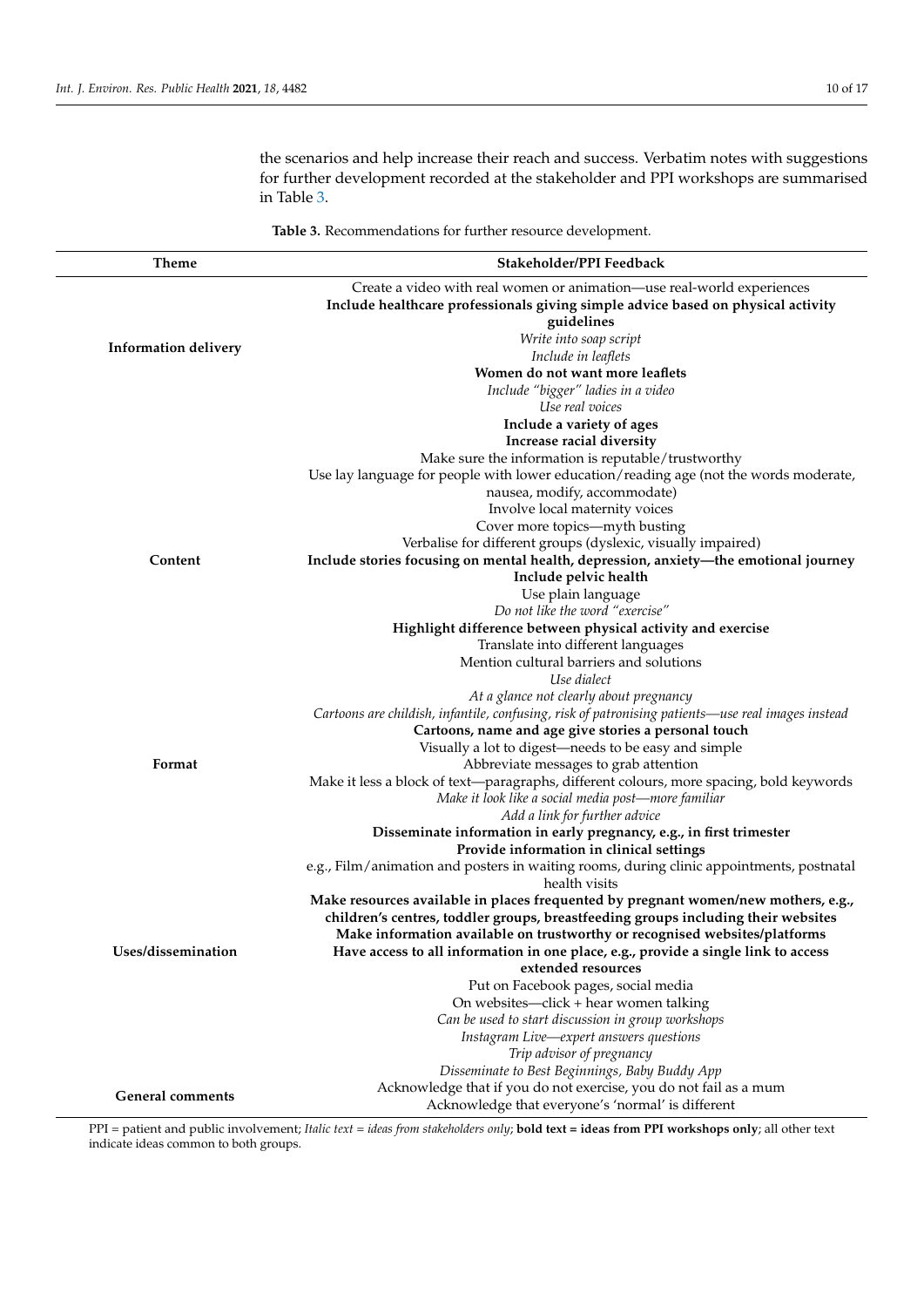the scenarios and help increase their reach and success. Verbatim notes with suggestions for further development recorded at the stakeholder and PPI workshops are summarised in Table [3.](#page-9-0)

**Table 3.** Recommendations for further resource development.

<span id="page-9-0"></span>

| Theme                       | Stakeholder/PPI Feedback                                                                                                                                                                                                                              |  |
|-----------------------------|-------------------------------------------------------------------------------------------------------------------------------------------------------------------------------------------------------------------------------------------------------|--|
|                             | Create a video with real women or animation-use real-world experiences<br>Include healthcare professionals giving simple advice based on physical activity<br>guidelines                                                                              |  |
| <b>Information delivery</b> | Write into soap script<br>Include in leaflets                                                                                                                                                                                                         |  |
|                             | Women do not want more leaflets<br>Include "bigger" ladies in a video                                                                                                                                                                                 |  |
|                             | Use real voices<br>Include a variety of ages<br>Increase racial diversity                                                                                                                                                                             |  |
|                             | Make sure the information is reputable/trustworthy<br>Use lay language for people with lower education/reading age (not the words moderate,                                                                                                           |  |
|                             | nausea, modify, accommodate)                                                                                                                                                                                                                          |  |
|                             | Involve local maternity voices<br>Cover more topics-myth busting                                                                                                                                                                                      |  |
| Content                     | Verbalise for different groups (dyslexic, visually impaired)<br>Include stories focusing on mental health, depression, anxiety-the emotional journey                                                                                                  |  |
|                             | Include pelvic health<br>Use plain language<br>Do not like the word "exercise"                                                                                                                                                                        |  |
|                             | Highlight difference between physical activity and exercise<br>Translate into different languages                                                                                                                                                     |  |
|                             | Mention cultural barriers and solutions<br>Use dialect                                                                                                                                                                                                |  |
|                             | At a glance not clearly about pregnancy<br>Cartoons are childish, infantile, confusing, risk of patronising patients—use real images instead<br>Cartoons, name and age give stories a personal touch                                                  |  |
| Format                      | Visually a lot to digest—needs to be easy and simple<br>Abbreviate messages to grab attention                                                                                                                                                         |  |
|                             | Make it less a block of text—paragraphs, different colours, more spacing, bold keywords<br>Make it look like a social media post—more familiar<br>Add a link for further advice                                                                       |  |
|                             | Disseminate information in early pregnancy, e.g., in first trimester<br>Provide information in clinical settings                                                                                                                                      |  |
|                             | e.g., Film/animation and posters in waiting rooms, during clinic appointments, postnatal<br>health visits                                                                                                                                             |  |
|                             | Make resources available in places frequented by pregnant women/new mothers, e.g.,<br>children's centres, toddler groups, breastfeeding groups including their websites<br>Make information available on trustworthy or recognised websites/platforms |  |
| Uses/dissemination          | Have access to all information in one place, e.g., provide a single link to access<br>extended resources                                                                                                                                              |  |
|                             | Put on Facebook pages, social media<br>On websites-click + hear women talking                                                                                                                                                                         |  |
|                             | Can be used to start discussion in group workshops<br>Instagram Live-expert answers questions                                                                                                                                                         |  |
|                             | Trip advisor of pregnancy<br>Disseminate to Best Beginnings, Baby Buddy App                                                                                                                                                                           |  |
| <b>General comments</b>     | Acknowledge that if you do not exercise, you do not fail as a mum<br>Acknowledge that everyone's 'normal' is different                                                                                                                                |  |

PPI = patient and public involvement; *Italic text* = *ideas from stakeholders only*; **bold text = ideas from PPI workshops only**; all other text indicate ideas common to both groups.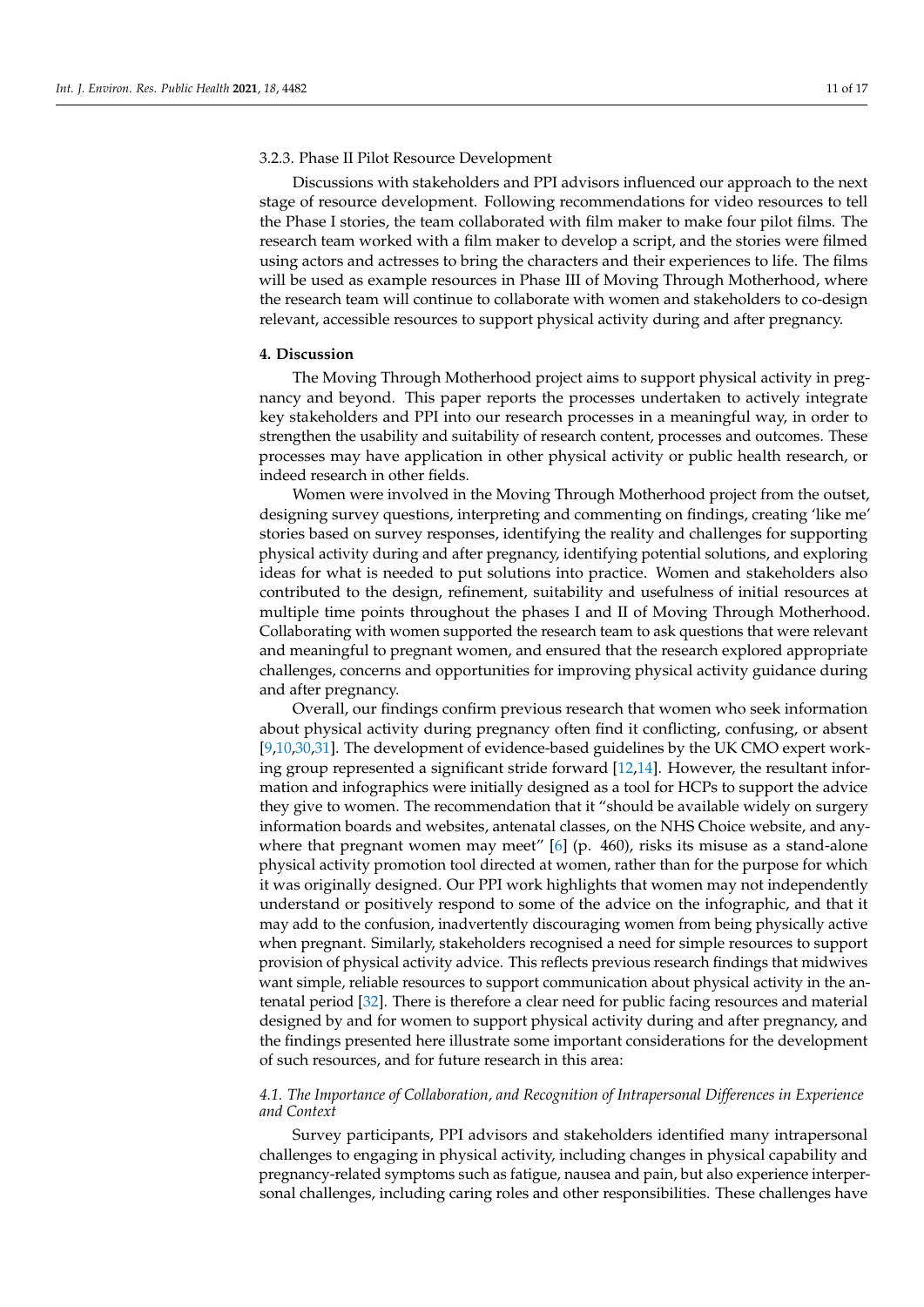# 3.2.3. Phase II Pilot Resource Development

Discussions with stakeholders and PPI advisors influenced our approach to the next stage of resource development. Following recommendations for video resources to tell the Phase I stories, the team collaborated with film maker to make four pilot films. The research team worked with a film maker to develop a script, and the stories were filmed using actors and actresses to bring the characters and their experiences to life. The films will be used as example resources in Phase III of Moving Through Motherhood, where the research team will continue to collaborate with women and stakeholders to co-design relevant, accessible resources to support physical activity during and after pregnancy.

### **4. Discussion**

The Moving Through Motherhood project aims to support physical activity in pregnancy and beyond. This paper reports the processes undertaken to actively integrate key stakeholders and PPI into our research processes in a meaningful way, in order to strengthen the usability and suitability of research content, processes and outcomes. These processes may have application in other physical activity or public health research, or indeed research in other fields.

Women were involved in the Moving Through Motherhood project from the outset, designing survey questions, interpreting and commenting on findings, creating 'like me' stories based on survey responses, identifying the reality and challenges for supporting physical activity during and after pregnancy, identifying potential solutions, and exploring ideas for what is needed to put solutions into practice. Women and stakeholders also contributed to the design, refinement, suitability and usefulness of initial resources at multiple time points throughout the phases I and II of Moving Through Motherhood. Collaborating with women supported the research team to ask questions that were relevant and meaningful to pregnant women, and ensured that the research explored appropriate challenges, concerns and opportunities for improving physical activity guidance during and after pregnancy.

Overall, our findings confirm previous research that women who seek information about physical activity during pregnancy often find it conflicting, confusing, or absent [\[9,](#page-14-4)[10](#page-14-10)[,30](#page-15-11)[,31\]](#page-15-12). The development of evidence-based guidelines by the UK CMO expert working group represented a significant stride forward [\[12,](#page-14-6)[14\]](#page-14-8). However, the resultant information and infographics were initially designed as a tool for HCPs to support the advice they give to women. The recommendation that it "should be available widely on surgery information boards and websites, antenatal classes, on the NHS Choice website, and any-where that pregnant women may meet" [\[6\]](#page-14-1) (p. 460), risks its misuse as a stand-alone physical activity promotion tool directed at women, rather than for the purpose for which it was originally designed. Our PPI work highlights that women may not independently understand or positively respond to some of the advice on the infographic, and that it may add to the confusion, inadvertently discouraging women from being physically active when pregnant. Similarly, stakeholders recognised a need for simple resources to support provision of physical activity advice. This reflects previous research findings that midwives want simple, reliable resources to support communication about physical activity in the antenatal period [\[32\]](#page-15-13). There is therefore a clear need for public facing resources and material designed by and for women to support physical activity during and after pregnancy, and the findings presented here illustrate some important considerations for the development of such resources, and for future research in this area:

# *4.1. The Importance of Collaboration, and Recognition of Intrapersonal Differences in Experience and Context*

Survey participants, PPI advisors and stakeholders identified many intrapersonal challenges to engaging in physical activity, including changes in physical capability and pregnancy-related symptoms such as fatigue, nausea and pain, but also experience interpersonal challenges, including caring roles and other responsibilities. These challenges have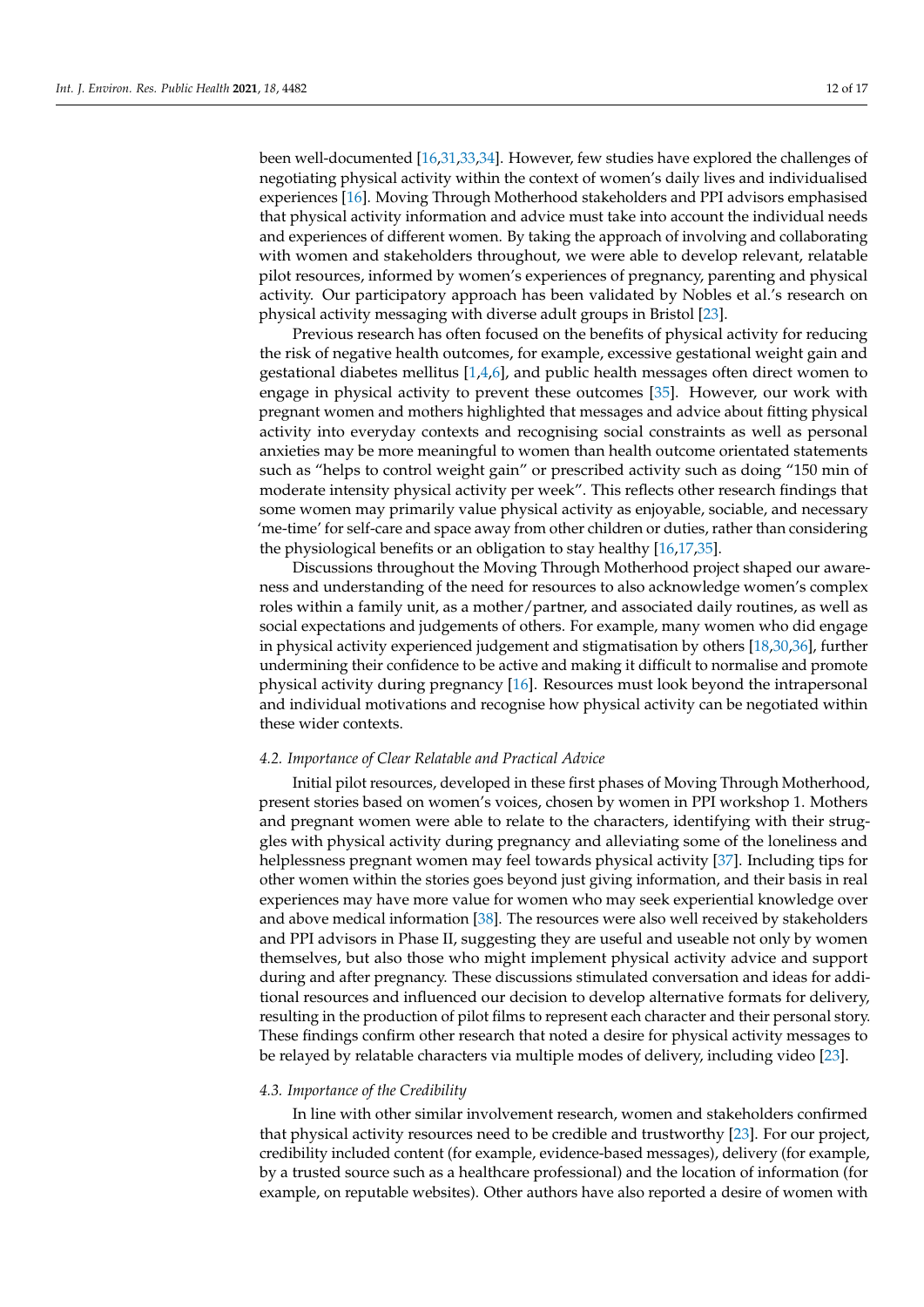been well-documented [\[16,](#page-14-11)[31,](#page-15-12)[33,](#page-15-14)[34\]](#page-15-15). However, few studies have explored the challenges of negotiating physical activity within the context of women's daily lives and individualised experiences [\[16\]](#page-14-11). Moving Through Motherhood stakeholders and PPI advisors emphasised that physical activity information and advice must take into account the individual needs and experiences of different women. By taking the approach of involving and collaborating with women and stakeholders throughout, we were able to develop relevant, relatable pilot resources, informed by women's experiences of pregnancy, parenting and physical activity. Our participatory approach has been validated by Nobles et al.'s research on physical activity messaging with diverse adult groups in Bristol [\[23\]](#page-15-5).

Previous research has often focused on the benefits of physical activity for reducing the risk of negative health outcomes, for example, excessive gestational weight gain and gestational diabetes mellitus [\[1,](#page-14-0)[4,](#page-14-13)[6\]](#page-14-1), and public health messages often direct women to engage in physical activity to prevent these outcomes [\[35\]](#page-15-16). However, our work with pregnant women and mothers highlighted that messages and advice about fitting physical activity into everyday contexts and recognising social constraints as well as personal anxieties may be more meaningful to women than health outcome orientated statements such as "helps to control weight gain" or prescribed activity such as doing "150 min of moderate intensity physical activity per week". This reflects other research findings that some women may primarily value physical activity as enjoyable, sociable, and necessary 'me-time' for self-care and space away from other children or duties, rather than considering the physiological benefits or an obligation to stay healthy [\[16,](#page-14-11)[17,](#page-14-12)[35\]](#page-15-16).

Discussions throughout the Moving Through Motherhood project shaped our awareness and understanding of the need for resources to also acknowledge women's complex roles within a family unit, as a mother/partner, and associated daily routines, as well as social expectations and judgements of others. For example, many women who did engage in physical activity experienced judgement and stigmatisation by others [\[18](#page-15-0)[,30,](#page-15-11)[36\]](#page-15-17), further undermining their confidence to be active and making it difficult to normalise and promote physical activity during pregnancy [\[16\]](#page-14-11). Resources must look beyond the intrapersonal and individual motivations and recognise how physical activity can be negotiated within these wider contexts.

# *4.2. Importance of Clear Relatable and Practical Advice*

Initial pilot resources, developed in these first phases of Moving Through Motherhood, present stories based on women's voices, chosen by women in PPI workshop 1. Mothers and pregnant women were able to relate to the characters, identifying with their struggles with physical activity during pregnancy and alleviating some of the loneliness and helplessness pregnant women may feel towards physical activity [\[37\]](#page-15-18). Including tips for other women within the stories goes beyond just giving information, and their basis in real experiences may have more value for women who may seek experiential knowledge over and above medical information [\[38\]](#page-15-19). The resources were also well received by stakeholders and PPI advisors in Phase II, suggesting they are useful and useable not only by women themselves, but also those who might implement physical activity advice and support during and after pregnancy. These discussions stimulated conversation and ideas for additional resources and influenced our decision to develop alternative formats for delivery, resulting in the production of pilot films to represent each character and their personal story. These findings confirm other research that noted a desire for physical activity messages to be relayed by relatable characters via multiple modes of delivery, including video [\[23\]](#page-15-5).

#### *4.3. Importance of the Credibility*

In line with other similar involvement research, women and stakeholders confirmed that physical activity resources need to be credible and trustworthy [\[23\]](#page-15-5). For our project, credibility included content (for example, evidence-based messages), delivery (for example, by a trusted source such as a healthcare professional) and the location of information (for example, on reputable websites). Other authors have also reported a desire of women with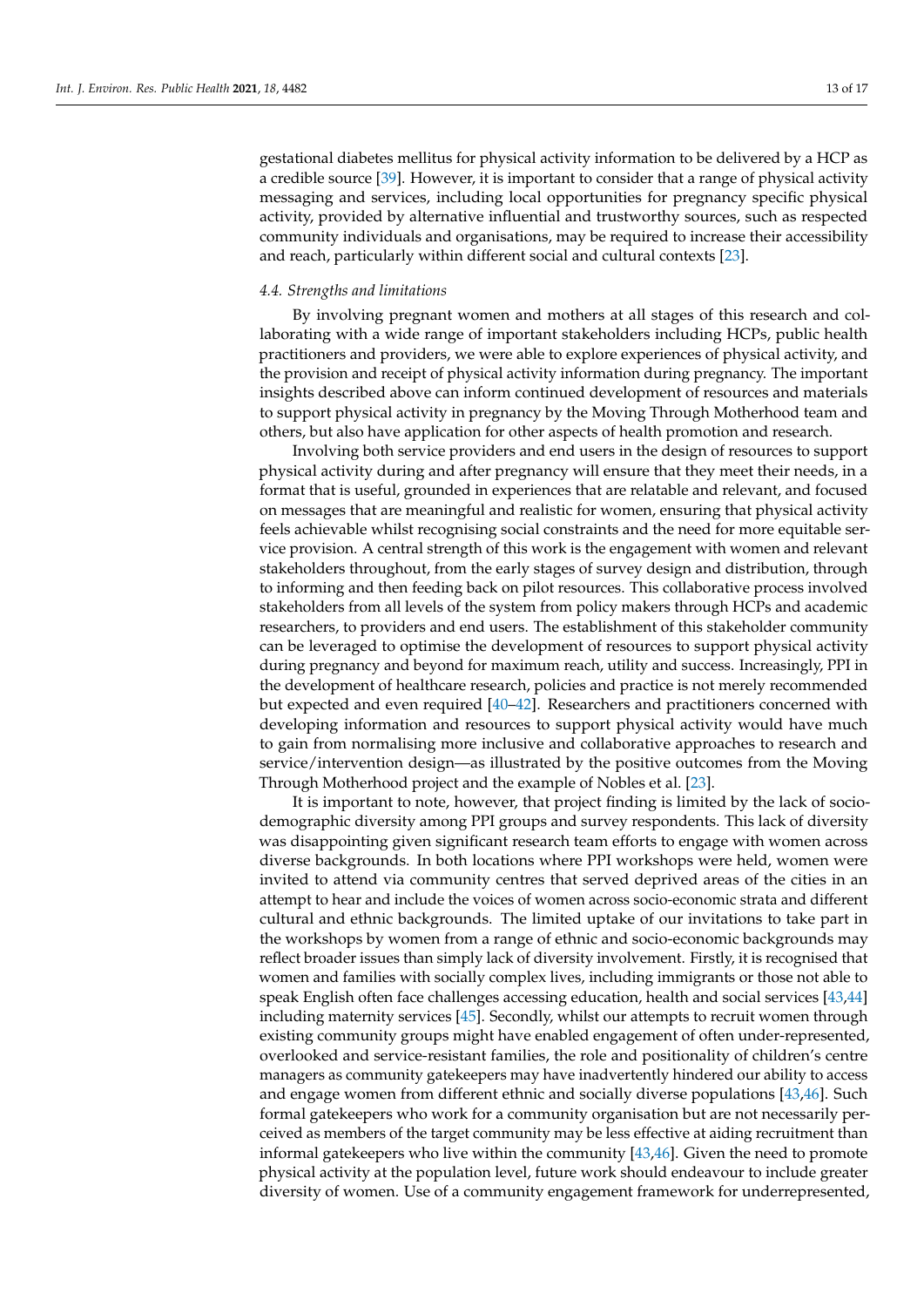gestational diabetes mellitus for physical activity information to be delivered by a HCP as a credible source [\[39\]](#page-15-20). However, it is important to consider that a range of physical activity messaging and services, including local opportunities for pregnancy specific physical activity, provided by alternative influential and trustworthy sources, such as respected community individuals and organisations, may be required to increase their accessibility and reach, particularly within different social and cultural contexts [\[23\]](#page-15-5).

#### *4.4. Strengths and limitations*

By involving pregnant women and mothers at all stages of this research and collaborating with a wide range of important stakeholders including HCPs, public health practitioners and providers, we were able to explore experiences of physical activity, and the provision and receipt of physical activity information during pregnancy. The important insights described above can inform continued development of resources and materials to support physical activity in pregnancy by the Moving Through Motherhood team and others, but also have application for other aspects of health promotion and research.

Involving both service providers and end users in the design of resources to support physical activity during and after pregnancy will ensure that they meet their needs, in a format that is useful, grounded in experiences that are relatable and relevant, and focused on messages that are meaningful and realistic for women, ensuring that physical activity feels achievable whilst recognising social constraints and the need for more equitable service provision. A central strength of this work is the engagement with women and relevant stakeholders throughout, from the early stages of survey design and distribution, through to informing and then feeding back on pilot resources. This collaborative process involved stakeholders from all levels of the system from policy makers through HCPs and academic researchers, to providers and end users. The establishment of this stakeholder community can be leveraged to optimise the development of resources to support physical activity during pregnancy and beyond for maximum reach, utility and success. Increasingly, PPI in the development of healthcare research, policies and practice is not merely recommended but expected and even required [\[40–](#page-15-21)[42\]](#page-15-22). Researchers and practitioners concerned with developing information and resources to support physical activity would have much to gain from normalising more inclusive and collaborative approaches to research and service/intervention design—as illustrated by the positive outcomes from the Moving Through Motherhood project and the example of Nobles et al. [\[23\]](#page-15-5).

It is important to note, however, that project finding is limited by the lack of sociodemographic diversity among PPI groups and survey respondents. This lack of diversity was disappointing given significant research team efforts to engage with women across diverse backgrounds. In both locations where PPI workshops were held, women were invited to attend via community centres that served deprived areas of the cities in an attempt to hear and include the voices of women across socio-economic strata and different cultural and ethnic backgrounds. The limited uptake of our invitations to take part in the workshops by women from a range of ethnic and socio-economic backgrounds may reflect broader issues than simply lack of diversity involvement. Firstly, it is recognised that women and families with socially complex lives, including immigrants or those not able to speak English often face challenges accessing education, health and social services [\[43,](#page-15-23)[44\]](#page-15-24) including maternity services [\[45\]](#page-15-25). Secondly, whilst our attempts to recruit women through existing community groups might have enabled engagement of often under-represented, overlooked and service-resistant families, the role and positionality of children's centre managers as community gatekeepers may have inadvertently hindered our ability to access and engage women from different ethnic and socially diverse populations [\[43,](#page-15-23)[46\]](#page-16-0). Such formal gatekeepers who work for a community organisation but are not necessarily perceived as members of the target community may be less effective at aiding recruitment than informal gatekeepers who live within the community [\[43,](#page-15-23)[46\]](#page-16-0). Given the need to promote physical activity at the population level, future work should endeavour to include greater diversity of women. Use of a community engagement framework for underrepresented,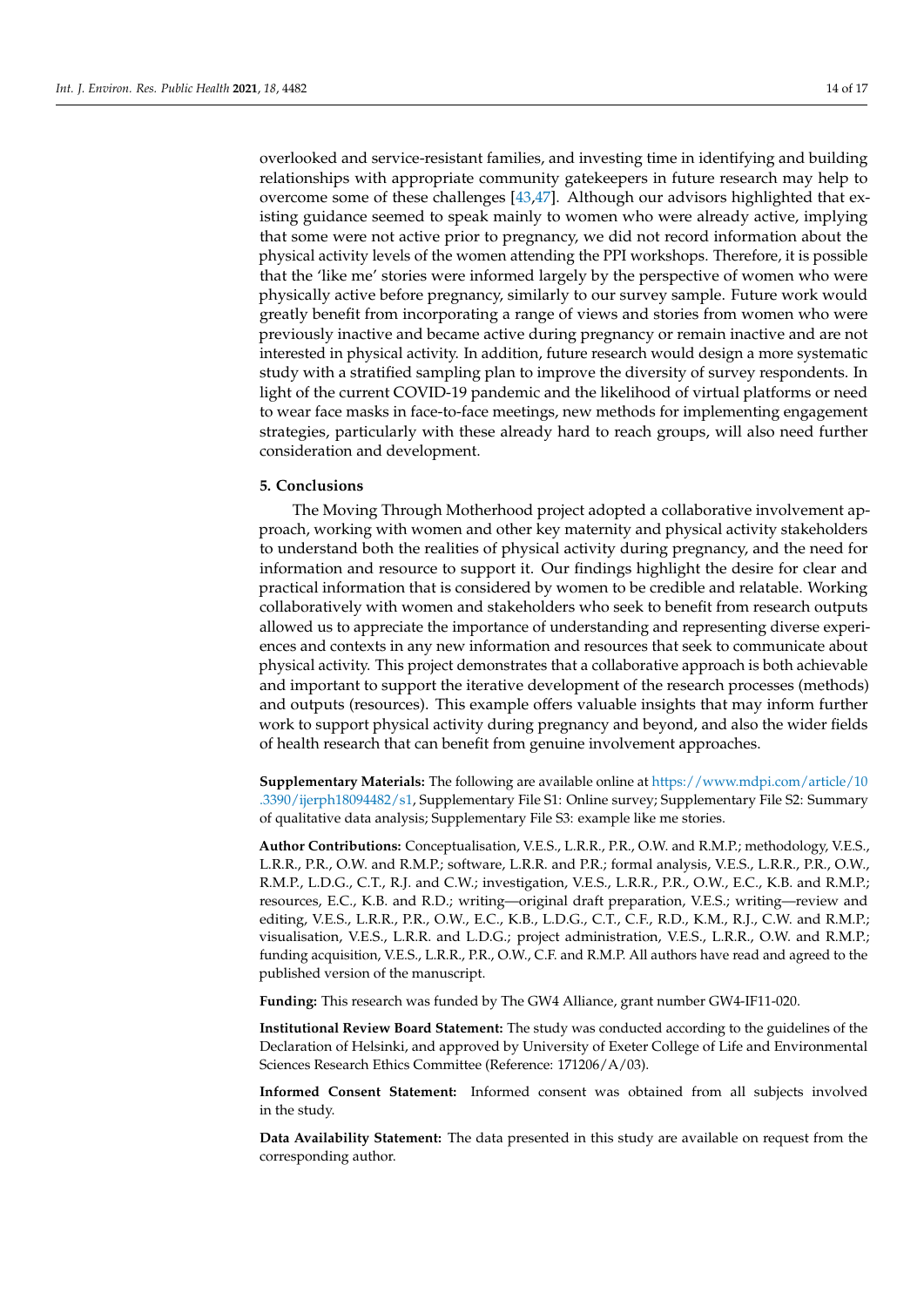overlooked and service-resistant families, and investing time in identifying and building relationships with appropriate community gatekeepers in future research may help to overcome some of these challenges [\[43](#page-15-23)[,47\]](#page-16-1). Although our advisors highlighted that existing guidance seemed to speak mainly to women who were already active, implying that some were not active prior to pregnancy, we did not record information about the physical activity levels of the women attending the PPI workshops. Therefore, it is possible that the 'like me' stories were informed largely by the perspective of women who were physically active before pregnancy, similarly to our survey sample. Future work would greatly benefit from incorporating a range of views and stories from women who were previously inactive and became active during pregnancy or remain inactive and are not interested in physical activity. In addition, future research would design a more systematic study with a stratified sampling plan to improve the diversity of survey respondents. In light of the current COVID-19 pandemic and the likelihood of virtual platforms or need to wear face masks in face-to-face meetings, new methods for implementing engagement strategies, particularly with these already hard to reach groups, will also need further consideration and development.

# **5. Conclusions**

The Moving Through Motherhood project adopted a collaborative involvement approach, working with women and other key maternity and physical activity stakeholders to understand both the realities of physical activity during pregnancy, and the need for information and resource to support it. Our findings highlight the desire for clear and practical information that is considered by women to be credible and relatable. Working collaboratively with women and stakeholders who seek to benefit from research outputs allowed us to appreciate the importance of understanding and representing diverse experiences and contexts in any new information and resources that seek to communicate about physical activity. This project demonstrates that a collaborative approach is both achievable and important to support the iterative development of the research processes (methods) and outputs (resources). This example offers valuable insights that may inform further work to support physical activity during pregnancy and beyond, and also the wider fields of health research that can benefit from genuine involvement approaches.

**Supplementary Materials:** The following are available online at [https://www.mdpi.com/article/10](https://www.mdpi.com/article/10.3390/ijerph18094482/s1) [.3390/ijerph18094482/s1,](https://www.mdpi.com/article/10.3390/ijerph18094482/s1) Supplementary File S1: Online survey; Supplementary File S2: Summary of qualitative data analysis; Supplementary File S3: example like me stories.

**Author Contributions:** Conceptualisation, V.E.S., L.R.R., P.R., O.W. and R.M.P.; methodology, V.E.S., L.R.R., P.R., O.W. and R.M.P.; software, L.R.R. and P.R.; formal analysis, V.E.S., L.R.R., P.R., O.W., R.M.P., L.D.G., C.T., R.J. and C.W.; investigation, V.E.S., L.R.R., P.R., O.W., E.C., K.B. and R.M.P.; resources, E.C., K.B. and R.D.; writing—original draft preparation, V.E.S.; writing—review and editing, V.E.S., L.R.R., P.R., O.W., E.C., K.B., L.D.G., C.T., C.F., R.D., K.M., R.J., C.W. and R.M.P.; visualisation, V.E.S., L.R.R. and L.D.G.; project administration, V.E.S., L.R.R., O.W. and R.M.P.; funding acquisition, V.E.S., L.R.R., P.R., O.W., C.F. and R.M.P. All authors have read and agreed to the published version of the manuscript.

**Funding:** This research was funded by The GW4 Alliance, grant number GW4-IF11-020.

**Institutional Review Board Statement:** The study was conducted according to the guidelines of the Declaration of Helsinki, and approved by University of Exeter College of Life and Environmental Sciences Research Ethics Committee (Reference: 171206/A/03).

**Informed Consent Statement:** Informed consent was obtained from all subjects involved in the study.

**Data Availability Statement:** The data presented in this study are available on request from the corresponding author.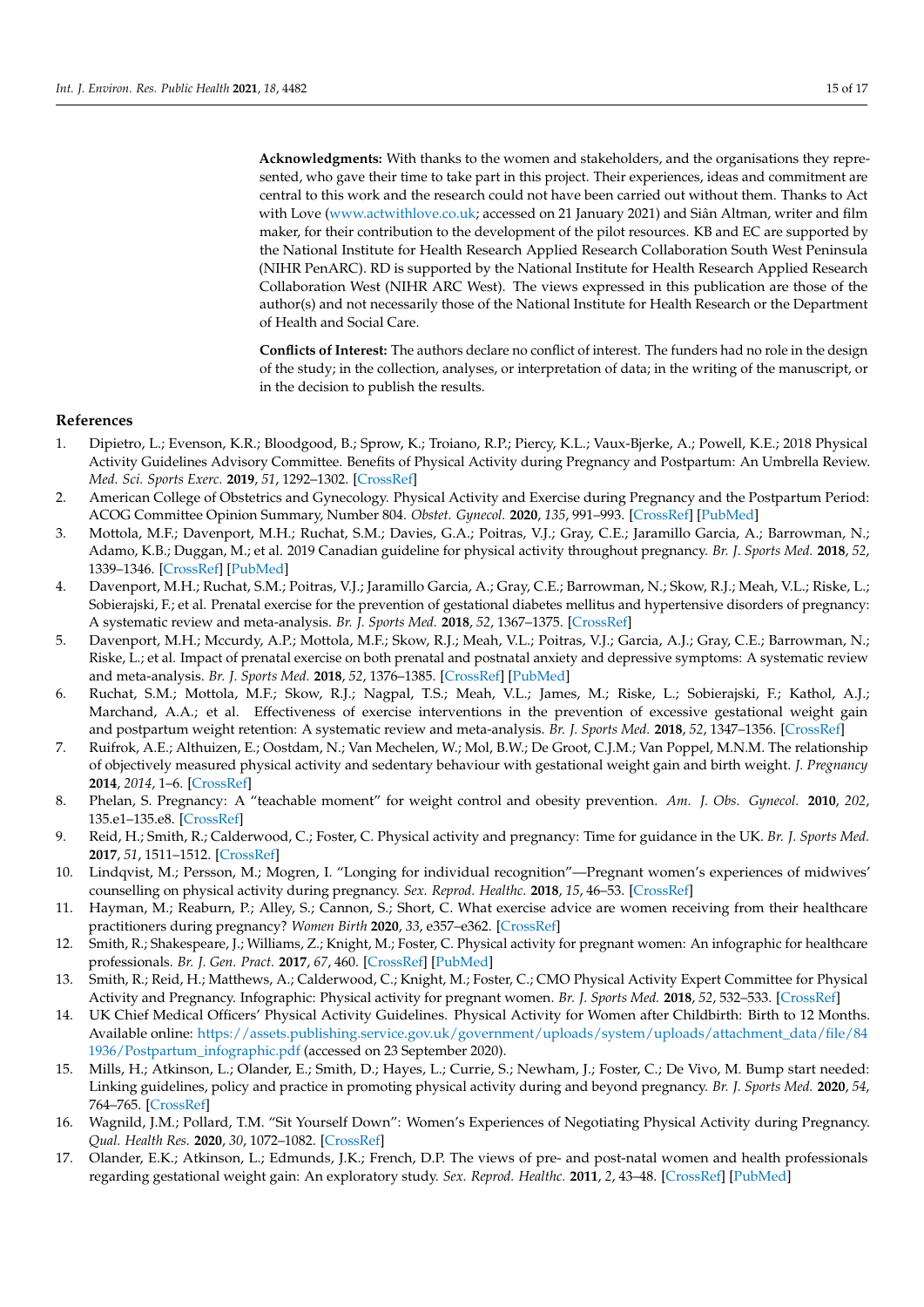**Acknowledgments:** With thanks to the women and stakeholders, and the organisations they represented, who gave their time to take part in this project. Their experiences, ideas and commitment are central to this work and the research could not have been carried out without them. Thanks to Act with Love [\(www.actwithlove.co.uk;](www.actwithlove.co.uk) accessed on 21 January 2021) and Siân Altman, writer and film maker, for their contribution to the development of the pilot resources. KB and EC are supported by the National Institute for Health Research Applied Research Collaboration South West Peninsula (NIHR PenARC). RD is supported by the National Institute for Health Research Applied Research Collaboration West (NIHR ARC West). The views expressed in this publication are those of the author(s) and not necessarily those of the National Institute for Health Research or the Department of Health and Social Care.

**Conflicts of Interest:** The authors declare no conflict of interest. The funders had no role in the design of the study; in the collection, analyses, or interpretation of data; in the writing of the manuscript, or in the decision to publish the results.

# **References**

- <span id="page-14-0"></span>1. Dipietro, L.; Evenson, K.R.; Bloodgood, B.; Sprow, K.; Troiano, R.P.; Piercy, K.L.; Vaux-Bjerke, A.; Powell, K.E.; 2018 Physical Activity Guidelines Advisory Committee. Benefits of Physical Activity during Pregnancy and Postpartum: An Umbrella Review. *Med. Sci. Sports Exerc.* **2019**, *51*, 1292–1302. [\[CrossRef\]](http://doi.org/10.1249/MSS.0000000000001941)
- 2. American College of Obstetrics and Gynecology. Physical Activity and Exercise during Pregnancy and the Postpartum Period: ACOG Committee Opinion Summary, Number 804. *Obstet. Gynecol.* **2020**, *135*, 991–993. [\[CrossRef\]](http://doi.org/10.1097/AOG.0000000000003773) [\[PubMed\]](http://www.ncbi.nlm.nih.gov/pubmed/32217974)
- 3. Mottola, M.F.; Davenport, M.H.; Ruchat, S.M.; Davies, G.A.; Poitras, V.J.; Gray, C.E.; Jaramillo Garcia, A.; Barrowman, N.; Adamo, K.B.; Duggan, M.; et al. 2019 Canadian guideline for physical activity throughout pregnancy. *Br. J. Sports Med.* **2018**, *52*, 1339–1346. [\[CrossRef\]](http://doi.org/10.1136/bjsports-2018-100056) [\[PubMed\]](http://www.ncbi.nlm.nih.gov/pubmed/30337460)
- <span id="page-14-13"></span>4. Davenport, M.H.; Ruchat, S.M.; Poitras, V.J.; Jaramillo Garcia, A.; Gray, C.E.; Barrowman, N.; Skow, R.J.; Meah, V.L.; Riske, L.; Sobierajski, F.; et al. Prenatal exercise for the prevention of gestational diabetes mellitus and hypertensive disorders of pregnancy: A systematic review and meta-analysis. *Br. J. Sports Med.* **2018**, *52*, 1367–1375. [\[CrossRef\]](http://doi.org/10.1136/bjsports-2018-099355)
- 5. Davenport, M.H.; Mccurdy, A.P.; Mottola, M.F.; Skow, R.J.; Meah, V.L.; Poitras, V.J.; Garcia, A.J.; Gray, C.E.; Barrowman, N.; Riske, L.; et al. Impact of prenatal exercise on both prenatal and postnatal anxiety and depressive symptoms: A systematic review and meta-analysis. *Br. J. Sports Med.* **2018**, *52*, 1376–1385. [\[CrossRef\]](http://doi.org/10.1136/bjsports-2018-099697) [\[PubMed\]](http://www.ncbi.nlm.nih.gov/pubmed/30337464)
- <span id="page-14-1"></span>6. Ruchat, S.M.; Mottola, M.F.; Skow, R.J.; Nagpal, T.S.; Meah, V.L.; James, M.; Riske, L.; Sobierajski, F.; Kathol, A.J.; Marchand, A.A.; et al. Effectiveness of exercise interventions in the prevention of excessive gestational weight gain and postpartum weight retention: A systematic review and meta-analysis. *Br. J. Sports Med.* **2018**, *52*, 1347–1356. [\[CrossRef\]](http://doi.org/10.1136/bjsports-2018-099399)
- <span id="page-14-2"></span>7. Ruifrok, A.E.; Althuizen, E.; Oostdam, N.; Van Mechelen, W.; Mol, B.W.; De Groot, C.J.M.; Van Poppel, M.N.M. The relationship of objectively measured physical activity and sedentary behaviour with gestational weight gain and birth weight. *J. Pregnancy* **2014**, *2014*, 1–6. [\[CrossRef\]](http://doi.org/10.1155/2014/567379)
- <span id="page-14-3"></span>8. Phelan, S. Pregnancy: A "teachable moment" for weight control and obesity prevention. *Am. J. Obs. Gynecol.* **2010**, *202*, 135.e1–135.e8. [\[CrossRef\]](http://doi.org/10.1016/j.ajog.2009.06.008)
- <span id="page-14-4"></span>9. Reid, H.; Smith, R.; Calderwood, C.; Foster, C. Physical activity and pregnancy: Time for guidance in the UK. *Br. J. Sports Med.* **2017**, *51*, 1511–1512. [\[CrossRef\]](http://doi.org/10.1136/bjsports-2016-097216)
- <span id="page-14-10"></span>10. Lindqvist, M.; Persson, M.; Mogren, I. "Longing for individual recognition"—Pregnant women's experiences of midwives' counselling on physical activity during pregnancy. *Sex. Reprod. Healthc.* **2018**, *15*, 46–53. [\[CrossRef\]](http://doi.org/10.1016/j.srhc.2017.12.003)
- <span id="page-14-5"></span>11. Hayman, M.; Reaburn, P.; Alley, S.; Cannon, S.; Short, C. What exercise advice are women receiving from their healthcare practitioners during pregnancy? *Women Birth* **2020**, *33*, e357–e362. [\[CrossRef\]](http://doi.org/10.1016/j.wombi.2019.07.302)
- <span id="page-14-6"></span>12. Smith, R.; Shakespeare, J.; Williams, Z.; Knight, M.; Foster, C. Physical activity for pregnant women: An infographic for healthcare professionals. *Br. J. Gen. Pract.* **2017**, *67*, 460. [\[CrossRef\]](http://doi.org/10.3399/bjgp17X692801) [\[PubMed\]](http://www.ncbi.nlm.nih.gov/pubmed/28963415)
- <span id="page-14-7"></span>13. Smith, R.; Reid, H.; Matthews, A.; Calderwood, C.; Knight, M.; Foster, C.; CMO Physical Activity Expert Committee for Physical Activity and Pregnancy. Infographic: Physical activity for pregnant women. *Br. J. Sports Med.* **2018**, *52*, 532–533. [\[CrossRef\]](http://doi.org/10.1136/bjsports-2017-098037)
- <span id="page-14-8"></span>14. UK Chief Medical Officers' Physical Activity Guidelines. Physical Activity for Women after Childbirth: Birth to 12 Months. Available online: [https://assets.publishing.service.gov.uk/government/uploads/system/uploads/attachment\\_data/file/84](https://assets.publishing.service.gov.uk/government/uploads/system/uploads/attachment_data/file/841936/Postpartum_infographic.pdf) [1936/Postpartum\\_infographic.pdf](https://assets.publishing.service.gov.uk/government/uploads/system/uploads/attachment_data/file/841936/Postpartum_infographic.pdf) (accessed on 23 September 2020).
- <span id="page-14-9"></span>15. Mills, H.; Atkinson, L.; Olander, E.; Smith, D.; Hayes, L.; Currie, S.; Newham, J.; Foster, C.; De Vivo, M. Bump start needed: Linking guidelines, policy and practice in promoting physical activity during and beyond pregnancy. *Br. J. Sports Med.* **2020**, *54*, 764–765. [\[CrossRef\]](http://doi.org/10.1136/bjsports-2019-101413)
- <span id="page-14-11"></span>16. Wagnild, J.M.; Pollard, T.M. "Sit Yourself Down": Women's Experiences of Negotiating Physical Activity during Pregnancy. *Qual. Health Res.* **2020**, *30*, 1072–1082. [\[CrossRef\]](http://doi.org/10.1177/1049732320909103)
- <span id="page-14-12"></span>17. Olander, E.K.; Atkinson, L.; Edmunds, J.K.; French, D.P. The views of pre- and post-natal women and health professionals regarding gestational weight gain: An exploratory study. *Sex. Reprod. Healthc.* **2011**, *2*, 43–48. [\[CrossRef\]](http://doi.org/10.1016/j.srhc.2010.10.004) [\[PubMed\]](http://www.ncbi.nlm.nih.gov/pubmed/21147458)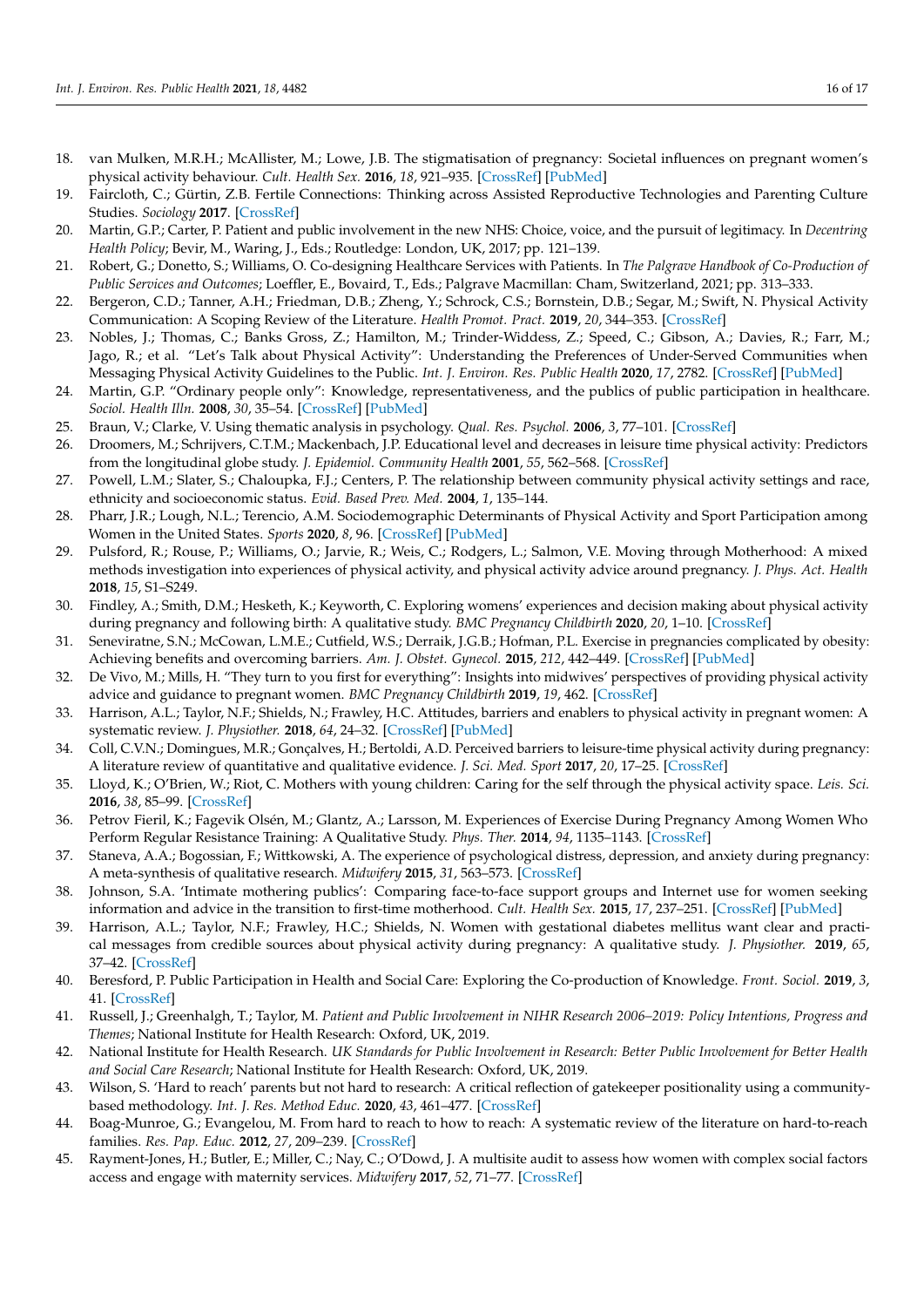- <span id="page-15-0"></span>18. van Mulken, M.R.H.; McAllister, M.; Lowe, J.B. The stigmatisation of pregnancy: Societal influences on pregnant women's physical activity behaviour. *Cult. Health Sex.* **2016**, *18*, 921–935. [\[CrossRef\]](http://doi.org/10.1080/13691058.2016.1148199) [\[PubMed\]](http://www.ncbi.nlm.nih.gov/pubmed/26967357)
- <span id="page-15-1"></span>19. Faircloth, C.; Gürtin, Z.B. Fertile Connections: Thinking across Assisted Reproductive Technologies and Parenting Culture Studies. *Sociology* **2017**. [\[CrossRef\]](http://doi.org/10.1177/0038038517696219)
- <span id="page-15-2"></span>20. Martin, G.P.; Carter, P. Patient and public involvement in the new NHS: Choice, voice, and the pursuit of legitimacy. In *Decentring Health Policy*; Bevir, M., Waring, J., Eds.; Routledge: London, UK, 2017; pp. 121–139.
- <span id="page-15-3"></span>21. Robert, G.; Donetto, S.; Williams, O. Co-designing Healthcare Services with Patients. In *The Palgrave Handbook of Co-Production of Public Services and Outcomes*; Loeffler, E., Bovaird, T., Eds.; Palgrave Macmillan: Cham, Switzerland, 2021; pp. 313–333.
- <span id="page-15-4"></span>22. Bergeron, C.D.; Tanner, A.H.; Friedman, D.B.; Zheng, Y.; Schrock, C.S.; Bornstein, D.B.; Segar, M.; Swift, N. Physical Activity Communication: A Scoping Review of the Literature. *Health Promot. Pract.* **2019**, *20*, 344–353. [\[CrossRef\]](http://doi.org/10.1177/1524839919834272)
- <span id="page-15-5"></span>23. Nobles, J.; Thomas, C.; Banks Gross, Z.; Hamilton, M.; Trinder-Widdess, Z.; Speed, C.; Gibson, A.; Davies, R.; Farr, M.; Jago, R.; et al. "Let's Talk about Physical Activity": Understanding the Preferences of Under-Served Communities when Messaging Physical Activity Guidelines to the Public. *Int. J. Environ. Res. Public Health* **2020**, *17*, 2782. [\[CrossRef\]](http://doi.org/10.3390/ijerph17082782) [\[PubMed\]](http://www.ncbi.nlm.nih.gov/pubmed/32316591)
- <span id="page-15-6"></span>24. Martin, G.P. "Ordinary people only": Knowledge, representativeness, and the publics of public participation in healthcare. *Sociol. Health Illn.* **2008**, *30*, 35–54. [\[CrossRef\]](http://doi.org/10.1111/j.1467-9566.2007.01027.x) [\[PubMed\]](http://www.ncbi.nlm.nih.gov/pubmed/18254832)
- <span id="page-15-7"></span>25. Braun, V.; Clarke, V. Using thematic analysis in psychology. *Qual. Res. Psychol.* **2006**, *3*, 77–101. [\[CrossRef\]](http://doi.org/10.1191/1478088706qp063oa)
- <span id="page-15-8"></span>26. Droomers, M.; Schrijvers, C.T.M.; Mackenbach, J.P. Educational level and decreases in leisure time physical activity: Predictors from the longitudinal globe study. *J. Epidemiol. Community Health* **2001**, *55*, 562–568. [\[CrossRef\]](http://doi.org/10.1136/jech.55.8.562)
- 27. Powell, L.M.; Slater, S.; Chaloupka, F.J.; Centers, P. The relationship between community physical activity settings and race, ethnicity and socioeconomic status. *Evid. Based Prev. Med.* **2004**, *1*, 135–144.
- <span id="page-15-9"></span>28. Pharr, J.R.; Lough, N.L.; Terencio, A.M. Sociodemographic Determinants of Physical Activity and Sport Participation among Women in the United States. *Sports* **2020**, *8*, 96. [\[CrossRef\]](http://doi.org/10.3390/sports8070096) [\[PubMed\]](http://www.ncbi.nlm.nih.gov/pubmed/32630832)
- <span id="page-15-10"></span>29. Pulsford, R.; Rouse, P.; Williams, O.; Jarvie, R.; Weis, C.; Rodgers, L.; Salmon, V.E. Moving through Motherhood: A mixed methods investigation into experiences of physical activity, and physical activity advice around pregnancy. *J. Phys. Act. Health* **2018**, *15*, S1–S249.
- <span id="page-15-11"></span>30. Findley, A.; Smith, D.M.; Hesketh, K.; Keyworth, C. Exploring womens' experiences and decision making about physical activity during pregnancy and following birth: A qualitative study. *BMC Pregnancy Childbirth* **2020**, *20*, 1–10. [\[CrossRef\]](http://doi.org/10.1186/s12884-019-2707-7)
- <span id="page-15-12"></span>31. Seneviratne, S.N.; McCowan, L.M.E.; Cutfield, W.S.; Derraik, J.G.B.; Hofman, P.L. Exercise in pregnancies complicated by obesity: Achieving benefits and overcoming barriers. *Am. J. Obstet. Gynecol.* **2015**, *212*, 442–449. [\[CrossRef\]](http://doi.org/10.1016/j.ajog.2014.06.009) [\[PubMed\]](http://www.ncbi.nlm.nih.gov/pubmed/24909342)
- <span id="page-15-13"></span>32. De Vivo, M.; Mills, H. "They turn to you first for everything": Insights into midwives' perspectives of providing physical activity advice and guidance to pregnant women. *BMC Pregnancy Childbirth* **2019**, *19*, 462. [\[CrossRef\]](http://doi.org/10.1186/s12884-019-2607-x)
- <span id="page-15-14"></span>33. Harrison, A.L.; Taylor, N.F.; Shields, N.; Frawley, H.C. Attitudes, barriers and enablers to physical activity in pregnant women: A systematic review. *J. Physiother.* **2018**, *64*, 24–32. [\[CrossRef\]](http://doi.org/10.1016/j.jphys.2017.11.012) [\[PubMed\]](http://www.ncbi.nlm.nih.gov/pubmed/29289592)
- <span id="page-15-15"></span>34. Coll, C.V.N.; Domingues, M.R.; Gonçalves, H.; Bertoldi, A.D. Perceived barriers to leisure-time physical activity during pregnancy: A literature review of quantitative and qualitative evidence. *J. Sci. Med. Sport* **2017**, *20*, 17–25. [\[CrossRef\]](http://doi.org/10.1016/j.jsams.2016.06.007)
- <span id="page-15-16"></span>35. Lloyd, K.; O'Brien, W.; Riot, C. Mothers with young children: Caring for the self through the physical activity space. *Leis. Sci.* **2016**, *38*, 85–99. [\[CrossRef\]](http://doi.org/10.1080/01490400.2015.1076362)
- <span id="page-15-17"></span>36. Petrov Fieril, K.; Fagevik Olsén, M.; Glantz, A.; Larsson, M. Experiences of Exercise During Pregnancy Among Women Who Perform Regular Resistance Training: A Qualitative Study. *Phys. Ther.* **2014**, *94*, 1135–1143. [\[CrossRef\]](http://doi.org/10.2522/ptj.20120432)
- <span id="page-15-18"></span>37. Staneva, A.A.; Bogossian, F.; Wittkowski, A. The experience of psychological distress, depression, and anxiety during pregnancy: A meta-synthesis of qualitative research. *Midwifery* **2015**, *31*, 563–573. [\[CrossRef\]](http://doi.org/10.1016/j.midw.2015.03.015)
- <span id="page-15-19"></span>38. Johnson, S.A. 'Intimate mothering publics': Comparing face-to-face support groups and Internet use for women seeking information and advice in the transition to first-time motherhood. *Cult. Health Sex.* **2015**, *17*, 237–251. [\[CrossRef\]](http://doi.org/10.1080/13691058.2014.968807) [\[PubMed\]](http://www.ncbi.nlm.nih.gov/pubmed/25339096)
- <span id="page-15-20"></span>39. Harrison, A.L.; Taylor, N.F.; Frawley, H.C.; Shields, N. Women with gestational diabetes mellitus want clear and practical messages from credible sources about physical activity during pregnancy: A qualitative study. *J. Physiother.* **2019**, *65*, 37–42. [\[CrossRef\]](http://doi.org/10.1016/j.jphys.2018.11.007)
- <span id="page-15-21"></span>40. Beresford, P. Public Participation in Health and Social Care: Exploring the Co-production of Knowledge. *Front. Sociol.* **2019**, *3*, 41. [\[CrossRef\]](http://doi.org/10.3389/fsoc.2018.00041)
- 41. Russell, J.; Greenhalgh, T.; Taylor, M. *Patient and Public Involvement in NIHR Research 2006–2019: Policy Intentions, Progress and Themes*; National Institute for Health Research: Oxford, UK, 2019.
- <span id="page-15-22"></span>42. National Institute for Health Research. *UK Standards for Public Involvement in Research: Better Public Involvement for Better Health and Social Care Research*; National Institute for Health Research: Oxford, UK, 2019.
- <span id="page-15-23"></span>43. Wilson, S. 'Hard to reach' parents but not hard to research: A critical reflection of gatekeeper positionality using a communitybased methodology. *Int. J. Res. Method Educ.* **2020**, *43*, 461–477. [\[CrossRef\]](http://doi.org/10.1080/1743727X.2019.1626819)
- <span id="page-15-24"></span>44. Boag-Munroe, G.; Evangelou, M. From hard to reach to how to reach: A systematic review of the literature on hard-to-reach families. *Res. Pap. Educ.* **2012**, *27*, 209–239. [\[CrossRef\]](http://doi.org/10.1080/02671522.2010.509515)
- <span id="page-15-25"></span>45. Rayment-Jones, H.; Butler, E.; Miller, C.; Nay, C.; O'Dowd, J. A multisite audit to assess how women with complex social factors access and engage with maternity services. *Midwifery* **2017**, *52*, 71–77. [\[CrossRef\]](http://doi.org/10.1016/j.midw.2017.06.004)